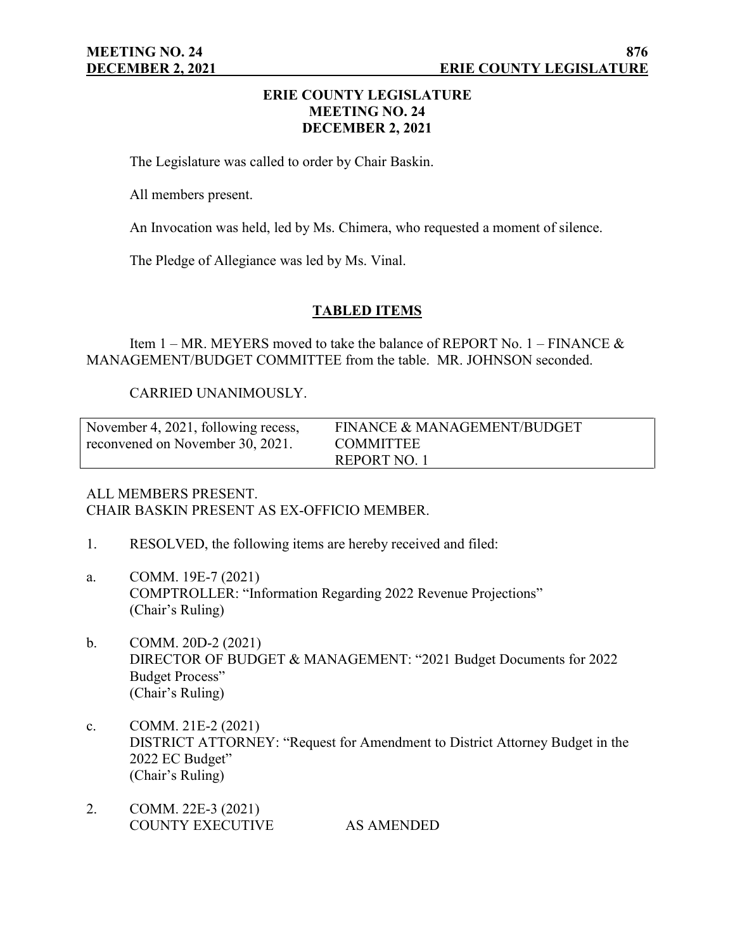## **ERIE COUNTY LEGISLATURE MEETING NO. 24 DECEMBER 2, 2021**

The Legislature was called to order by Chair Baskin.

All members present.

An Invocation was held, led by Ms. Chimera, who requested a moment of silence.

The Pledge of Allegiance was led by Ms. Vinal.

## **TABLED ITEMS**

Item  $1 - MR$ . MEYERS moved to take the balance of REPORT No.  $1 - FINANCE$  & MANAGEMENT/BUDGET COMMITTEE from the table. MR. JOHNSON seconded.

## CARRIED UNANIMOUSLY.

| November 4, 2021, following recess, | FINANCE & MANAGEMENT/BUDGET |
|-------------------------------------|-----------------------------|
| reconvened on November 30, 2021.    | <b>COMMITTEE</b>            |
|                                     | REPORT NO. 1                |

#### ALL MEMBERS PRESENT. CHAIR BASKIN PRESENT AS EX-OFFICIO MEMBER.

- 1. RESOLVED, the following items are hereby received and filed:
- a. COMM. 19E-7 (2021) COMPTROLLER: "Information Regarding 2022 Revenue Projections" (Chair's Ruling)
- b. COMM. 20D-2 (2021) DIRECTOR OF BUDGET & MANAGEMENT: "2021 Budget Documents for 2022 Budget Process" (Chair's Ruling)
- c. COMM. 21E-2 (2021) DISTRICT ATTORNEY: "Request for Amendment to District Attorney Budget in the 2022 EC Budget" (Chair's Ruling)
- 2. COMM. 22E-3 (2021) COUNTY EXECUTIVE AS AMENDED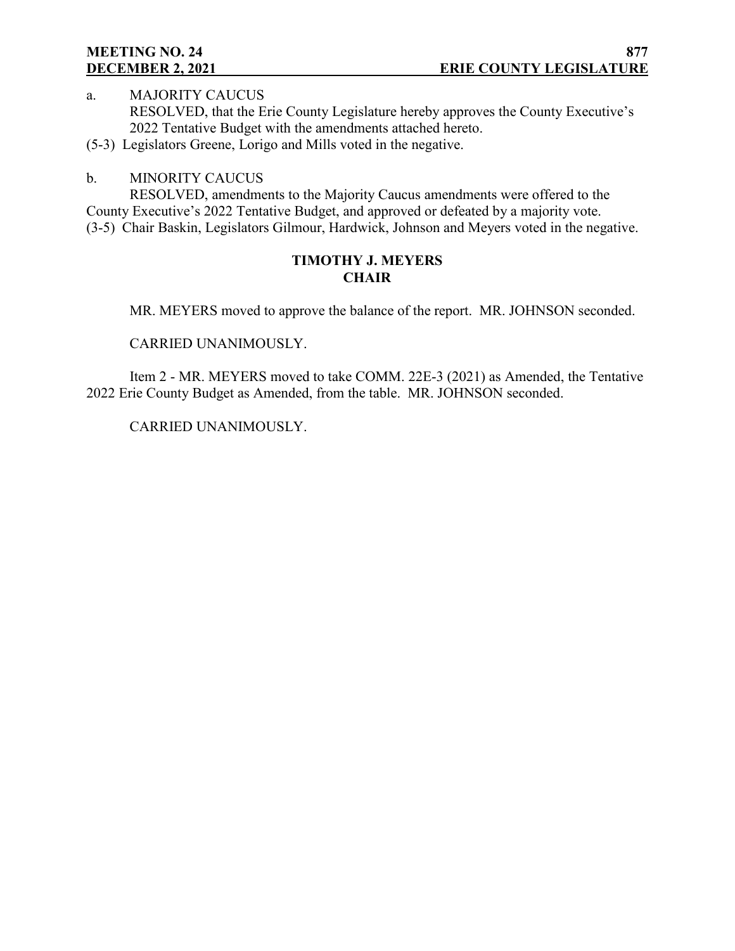# **MEETING NO. 24**

a. MAJORITY CAUCUS RESOLVED, that the Erie County Legislature hereby approves the County Executive's 2022 Tentative Budget with the amendments attached hereto.

(5-3) Legislators Greene, Lorigo and Mills voted in the negative.

## b. MINORITY CAUCUS

RESOLVED, amendments to the Majority Caucus amendments were offered to the County Executive's 2022 Tentative Budget, and approved or defeated by a majority vote. (3-5) Chair Baskin, Legislators Gilmour, Hardwick, Johnson and Meyers voted in the negative.

## **TIMOTHY J. MEYERS CHAIR**

MR. MEYERS moved to approve the balance of the report. MR. JOHNSON seconded.

CARRIED UNANIMOUSLY.

Item 2 - MR. MEYERS moved to take COMM. 22E-3 (2021) as Amended, the Tentative 2022 Erie County Budget as Amended, from the table. MR. JOHNSON seconded.

CARRIED UNANIMOUSLY.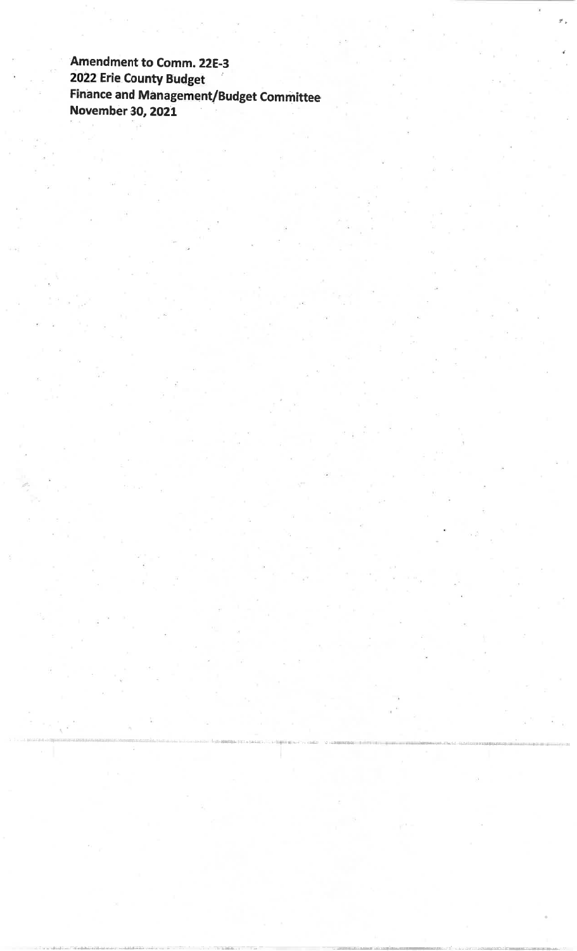Amendment to Comm. 22E-3 2022 Erie County Budget **Finance and Management/Budget Committee November 30, 2021**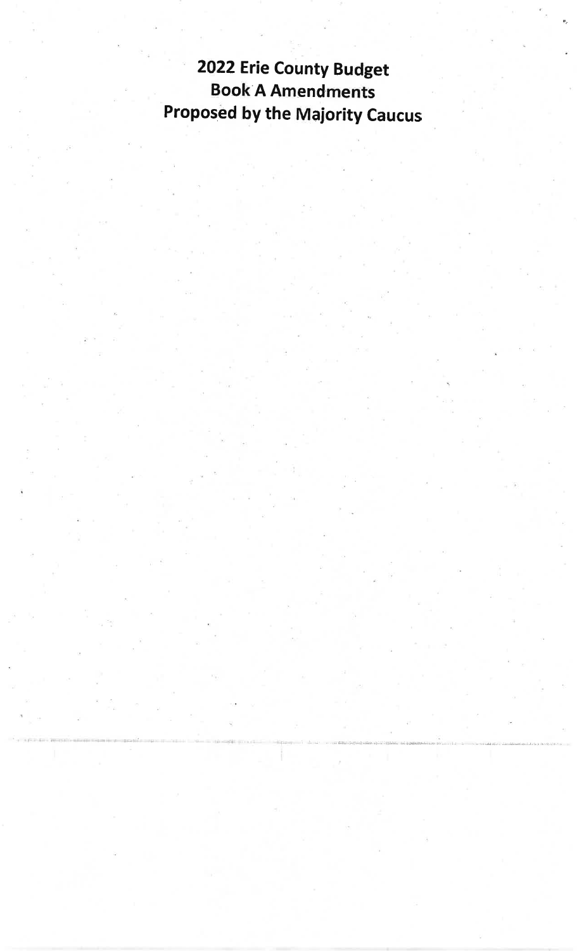# 2022 Erie County Budget **Book A Amendments** Proposed by the Majority Caucus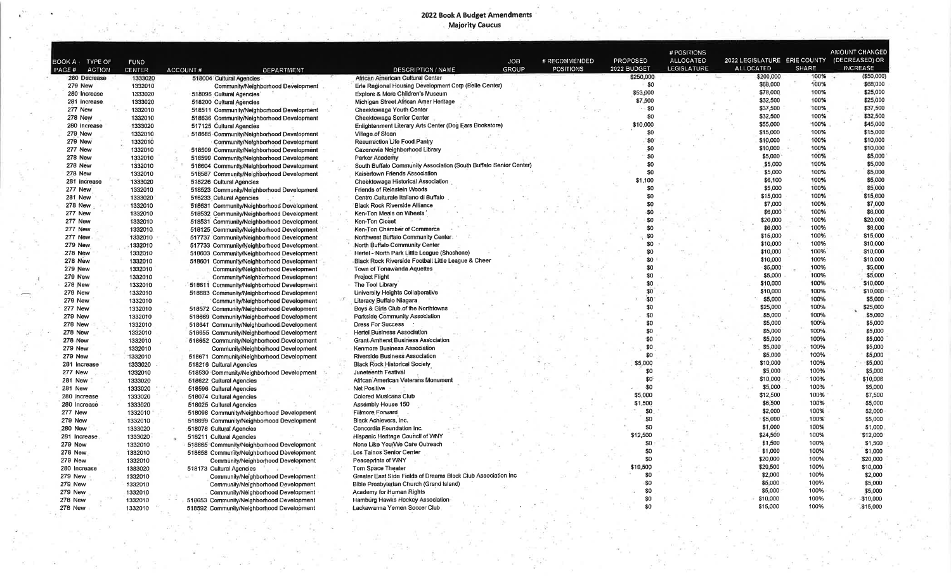## 2022 Book A Budget Amendments<br>Majority Caucus

|                        |               |                                            |                                                                   |                  |                 | # POSITIONS        |                              |              | AMOUNT CHANGED  |
|------------------------|---------------|--------------------------------------------|-------------------------------------------------------------------|------------------|-----------------|--------------------|------------------------------|--------------|-----------------|
| воок А<br>TYPE OF      | <b>FUND</b>   |                                            | <b>JOB</b>                                                        | # RECOMMENDED    | <b>PROPOSED</b> | <b>ALLOCATED</b>   | 2022 LEGISLATURE ERIE COUNTY |              | (DECREASED) OR  |
| PAGE#<br><b>ACTION</b> | <b>CENTER</b> | ACCOUNT#<br>DEPARTMENT                     | <b>GROUP</b><br><b>DESCRIPTION / NAME</b>                         | <b>POSITIONS</b> | 2022 BUDGET     | <b>LEGISLATURE</b> | <b>ALLOCATED</b>             | <b>SHARE</b> | <b>INCREASE</b> |
| 280 Decrease           | 1333020       | 518004 Cultural Agencies                   | African American Cultural Center                                  |                  | \$250,000       |                    | \$200,000                    | 100%         | ( \$50,000)     |
| <b>279 New</b>         | 1332010       | Community/Neighborhood Development         | Erie Regional Housing Development Corp (Belle Center)             |                  | \$0             |                    | \$68,000                     | 100%         | \$68,000        |
| 280 Increase           | 1333020       | 518096 Cultural Agencies                   | Explore & More Children's Museum                                  |                  | \$53,000        |                    | \$78,000                     | 100%         | \$25,000        |
| 281 Increase           | 1333020       | 518200 Cultural Agencies                   | Michigan Street African Amer Heritage                             |                  | \$7,500         |                    | \$32,500                     | 100%         | \$25,000        |
| <b>277 New</b>         | 1332010       | 518511 Community/Neighborhood Development  | Cheektowaga Youth Center                                          |                  | \$0             |                    | \$37,500                     | 100%         | \$37,500        |
| <b>278 New</b>         | 1332010       | 518636 Community/Neighborhood Development  | Cheektowaga Senior Center                                         |                  | \$0             |                    | \$32,500                     | 100%         | \$32,500        |
| 280 Increase           | 1333020       | 517125 Cultural Agencies                   | Enlightenment Literary Arts Center (Dog Ears Bookstore)           |                  | \$10,000        |                    | \$55,000                     | 100%         | \$45,000        |
| <b>279 New</b>         | 1332010       | 518685-Community/Neighborhood Development  | Village of Sloan                                                  |                  | \$0             |                    | \$15,000                     | 100%         | \$15,000        |
| <b>279 New</b>         | 1332010       | Community/Neighborhood Development         | Resurrection Life Food Pantry                                     |                  | \$0             |                    | \$10,000                     | 100%         | \$10,000        |
| 277 New                | 1332010       | 518509 Community/Neighborhood Development  | Cazenovia Neighborhood Library                                    |                  | \$0             |                    | \$10,000                     | 100%         | \$10,000        |
| <b>278 New</b>         | 1332010       | 518599 Community/Neighborhood Development  | Parker Academy                                                    |                  | \$0             |                    | \$5,000                      | 100%         | \$5,000         |
| <b>278 New</b>         | 1332010       | 518604 Community/Neighborhood Development  | South Buffalo Community Association (South Buffalo Senior Center) |                  | \$0             |                    | \$5,000                      | 100%         | \$5,000         |
| <b>278 New</b>         | 1332010       | 518587 Community/Neighborhood Development  | Kaisertown Friends Association                                    |                  | \$0             |                    | \$5,000                      | 100%         | \$5,000         |
| 281 Increase           | 1333020       | 518226 Cultural Agencies                   | Cheektowaga Historical Association                                |                  | .100<br>s.      |                    | \$6,100                      | 100%         | \$5,000         |
| 277 New                | 1332010       | 518523 Community/Neighborhood Development  | <b>Friends of Reinstein Woods</b>                                 |                  | \$0             |                    | \$5,000                      | 100%         | \$5,000         |
| <b>281 New</b>         | 1333020       | 516233 Cultural Agencies                   | Centro Culturale Italiano di Buffalo                              |                  | \$0             |                    | \$15,000                     | 100%         | \$15,000        |
| <b>278 New</b>         | 1332010       | 518631 Community/Neighborhood Development  | <b>Black Rock Riverside Alliance</b>                              |                  | \$0             |                    | \$7,000                      | 100%         | \$7,000         |
| 277 New                | 1332010       | 518532 Community/Neighborhood Development  | Ken-Ton Meals on Wheels                                           |                  | \$0             |                    | \$6,000                      | 100%         | \$6,000         |
| 277 New                | 1332010       | 518531 Community/Neighborhood Development  | Ken-Ton Closet                                                    |                  | \$0             |                    | \$20,000                     | 100%         | \$20,000        |
| <b>277 New</b>         | 1332010       | 518125 Community/Neighborhood Development  | Ken-Ton Chamber of Commerce                                       |                  | \$0             |                    | \$6,000                      | 100%         | \$6,000         |
| 277 New                | 1332010       | 517737 Community/Neighborhood Development  | Northwest Buffalo Community Center.                               |                  | \$0             |                    | \$15,000                     | 100%         | \$15,000        |
| <b>279 New</b>         | 1332010       | 517733 Community/Neighborhood Development  | North Buffalo Community Center                                    |                  | 80              |                    | \$10,000                     | 100%         | \$10,000        |
| <b>278 New</b>         | 1332010       | 518603 Community/Neighborhood Development  | Hertel - North Park Little League (Shoshone)                      |                  | \$0             |                    | \$10,000                     | 100%         | \$10,000        |
| <b>278 New</b>         | 1332010       | 518601 Community/Neighborhood Development  | Black Rock Riverside Football Little League & Cheer               |                  | \$0             |                    | \$10,000                     | 100%         | \$10,000        |
| <b>279 New</b>         | 1332010       | Community/Neighborhood Development         | Town of Tonawanda Aquettes                                        |                  | \$0             |                    | \$5,000                      | 100%         | \$5,000         |
| 279 New                | 1332010       | Community/Neighborhood Development         | <b>Project Flight</b>                                             |                  | SO.             |                    | \$5,000                      | 100%         | \$5,000         |
| <b>278 New</b>         | 1332010       |                                            | The Tool Library                                                  |                  | \$0             |                    | \$10,000                     | 100%         | \$10,000        |
| 279 New                |               | 518611 Community/Neighborhood Development  | University Heights Collaborative                                  |                  | \$0             |                    | \$10,000                     | 100%         | \$10,000        |
| <b>279 New</b>         | 1332010       | 518683 Community/Neighborhood Development  | Literacy Buffalo Niagara                                          |                  | \$0             |                    | \$5,000                      | 100%         | \$5,000         |
|                        | 1332010       | Community/Neighborhood Development         | Boys & Girls Club of the Northtowns                               |                  | \$0             |                    | \$25,000                     | 100%         | \$25,000        |
| <b>277 New</b>         | 1332010       | 518572 Community/Neighbortiood Development |                                                                   |                  | \$O             |                    | \$5,000                      | 100%         | \$5,000         |
| <b>279 New</b>         | 1332010       | 518669 Community/Neighborhood Development  | Parkside Community Association                                    |                  | \$0             |                    | \$5,000                      | 100%         | \$5,000         |
| 278 New                | 1332010       | 518641 Community/Neighborhood Development  | <b>Dress For Success</b>                                          |                  | \$0             |                    | \$5,000                      | 100%         | \$5,000         |
| 278 New                | 1332010       | 518655 Community/Neighborhood Development  | <b>Hertel Business Association</b>                                |                  | <b>SO</b>       |                    | \$5,000                      | 100%         | \$5,000         |
| <b>278 New</b>         | 1332010       | 518652 Community/Neighborhood Development  | <b>Grant-Amherst Business Association</b>                         |                  | \$0             |                    | \$5,000                      | 100%         | \$5,000         |
| 279 New                | 1332010       | Community/Neighborhood Development         | Kenmore Business Association                                      |                  | \$0             |                    | \$5,000                      | 100%         | \$5,000         |
| <b>279 New</b>         | 1332010       | 518671 Community/Neighborhood Development  | Riverside Business Association                                    |                  | \$5,000         |                    | \$10,000                     | 100%         | \$5,000         |
| 281 Increase           | 1333020       | 518216 Cultural Agencies                   | <b>Black Rock Historical Society</b>                              |                  | \$0             |                    | \$5,000                      | 100%         | \$5,000         |
| 277 New                | 1332010       | 518530 Community/Neighborhood Development  | Juneteenth Festival                                               |                  | \$0             |                    | \$10,000                     | 100%         | \$10,000        |
| <b>281 New</b>         | 1333020       | 518622 Cultural Agencies                   | African American Veterans Monument                                |                  | -\$0            |                    |                              | 100%         |                 |
| 281 New                | 1333020       | 518596 Cultural Agencies                   | Net Positive                                                      |                  |                 |                    | \$5,000                      | 100%         | \$5,000         |
| 280 Increase           | 1333020       | 518074 Cultural Agencies                   | <b>Colored Musicans Club</b>                                      |                  | \$5,000         |                    | \$12,500                     |              | \$7,500         |
| 280 Increase           | 1333020       | 518025 Cultural Agencies                   | Assembly House 150                                                |                  | \$1,500         |                    | \$6,500                      | 100%         | \$5,000         |
| 277 New                | 1332010       | 518098 Community/Neighborhood Development  | <b>Fillmore Forward</b>                                           |                  | \$0             |                    | \$2,000                      | 100%         | \$2,000         |
| <b>279 New</b>         | 1332010       | 518699 Community/Neighborhood Development  | Black Achievers, Inc.                                             |                  | \$0             |                    | \$5,000                      | 100%         | \$5,000         |
| 280 New                | 1333020       | 518078 Cultural Agencies                   | Concordia Foundation Inc.                                         |                  | \$0             |                    | \$1,000                      | 100%         | \$1,000         |
| 281 Increase           | 1333020       | 518211 Cultural Agencies                   | Hispanic Heritage Council of WNY                                  |                  | \$12,500        |                    | \$24,500                     | 100%         | \$12,000        |
| <b>279 New</b>         | 1332010       | 518665 Community/Neighborhood Development  | None Like You/We Care Outreach                                    |                  | \$0             |                    | \$1,500                      | 100%         | \$1,500         |
| <b>278 New</b>         | 1332010       | 518658 Community/Neighborhood Development  | Los Tainos Senior Center                                          |                  | \$0             |                    | \$1,000                      | 100%         | \$1,000         |
| <b>279 New</b>         | 1332010       | Community/Neighborhood Development         | Peaceprints of VVNY                                               |                  | \$0             |                    | \$20,000                     | 100%         | \$20,000        |
| 280 Increase           | 1333020       | 518173 Cultural Agencies                   | Tom Space Theater                                                 |                  | \$19,500        |                    | \$29,500                     | 100%         | \$10,000        |
| <b>279 New</b>         | 1332010       | Community/Neighborhood Development         | Greater East Side Fields of Dreams Block Club Association Inc     |                  | \$0             |                    | \$2,000                      | 100%         | \$2,000         |
| <b>279 New</b>         | 1332010       | Community/Neighborhood Development         | Bible Presbyterian Church (Grand Island)                          |                  | \$0             |                    | \$5,000                      | 100%         | \$5,000         |
| <b>279 New</b>         | 1332010       | Community/Neighborhood Development         | Academy for Human Rights                                          |                  | \$0             |                    | \$5,000                      | 100%         | \$5,000         |
| <b>278 New</b>         | 1332010       | 518653 Community/Neighborhood Development  | Hamburg Hawks Hockey Association                                  |                  | \$0             |                    | \$10,000                     | 100%         | \$10,000        |
| 278 New                | 1332010       | 518592 Community/Neighborhood Development  | Lackawanna Yemen Soccer Club                                      |                  | \$0             |                    | \$15,000                     | 100%         | \$15,000        |
|                        |               |                                            |                                                                   |                  |                 |                    |                              |              |                 |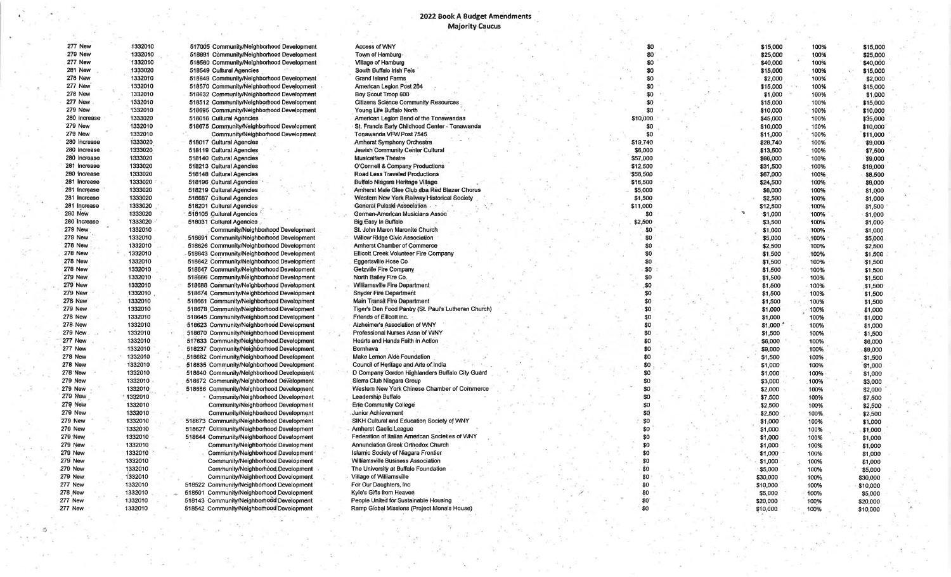#### 2022 Book A Budget Amendments **Majority Caucus**

 $\mathcal{L}$ Æ

ò.

277 New 278 New **278 New** 278 New **279 New 279 New 279 New** 279 New **279 New 279 New 279 New** 279 New **279 New** 279 New **279 New 279 New** 279 New 277 New 278 New 277 New **277 New** 

书

| 277 New        | 1332010 | 517005 Community/Neighborhood Development | <b>Access of WNY</b>                                 | \$0      |  | \$15,000 | 100% | \$15,000 |
|----------------|---------|-------------------------------------------|------------------------------------------------------|----------|--|----------|------|----------|
| <b>279 New</b> | 1332010 | 518681 Community/Neighborhood Development | Town of Hamburg                                      | \$0      |  | \$25,000 | 100% | \$25,000 |
| 277 New        | 1332010 | 518560 Community/Neighborhood Development | Village of Hamburg                                   | \$0      |  | \$40,000 | 100% | \$40,000 |
| 281 New        | 1333020 | 518549 Cultural Agencies                  | South Buffalo Irish Feis                             | \$0      |  | \$15,000 | 100% | \$15,000 |
| <b>278 New</b> | 1332010 | 518649 Community/Neighborhood Development | Grand Island Farms                                   | \$0      |  | \$2,000  | 100% | \$2,000  |
| 277 New        | 1332010 | 518570 Community/Neighborhood Development | American Legion Post 264                             | \$0      |  | \$15,000 | 100% | \$15,000 |
| <b>278 New</b> | 1332010 | 518632 Community/Neighborhood Development | Boy Scout Troop 600                                  | \$0      |  | \$1,000  | 100% | \$1,000  |
| 277 New        | 1332010 | 518512 Community/Neighborhood Development | <b>Citizens Science Community Resources</b>          | \$0      |  | \$15,000 | 100% | \$15,000 |
| 279 New        | 1332010 | 518695 Community/Neighborhood Development | Young Life Buffalo North                             | \$0      |  | \$10,000 | 100% | \$10,000 |
| 280 Increase   | 1333020 | 518016 Cultural Agencies                  | American Legion Band of the Tonawandas               | \$10,000 |  | \$45,000 | 100% | \$35,000 |
| <b>279 New</b> | 1332010 |                                           | St. Francis Early Childhood Center - Tonawanda       | \$0      |  |          |      |          |
| 279 New        | 1332010 | 518675 Community/Neighborhood Development | Tonawanda VFW Post 7545                              | \$0      |  | \$10,000 | 100% | \$10,000 |
|                |         | Community/Neighborhood Development        |                                                      |          |  | \$11,000 | 100% | \$11,000 |
| 280 Increase   | 1333020 | 518017 Cultural Agencies                  | <b>Amherst Symphony Orchestra</b>                    | \$19,740 |  | \$28,740 | 100% | \$9,000  |
| 280 Increase   | 1333020 | 518119 Cultural Agencies                  | Jewish Community Center Cultural                     | \$6,000  |  | \$13,500 | 100% | \$7,500  |
| 280 Increase   | 1333020 | 518140 Cultural Agencies                  | Musicalfare Theatre                                  | \$57,000 |  | \$66,000 | 100% | \$9,000  |
| 281 Increase   | 1333020 | 518213 Cultural Agencies                  | O'Connell & Company Productions                      | \$12,500 |  | \$31,500 | 100% | \$19,000 |
| 280 Increase   | 1333020 | 518148 Cultural Agencies                  | Road Less Traveled Productions                       | \$58,500 |  | \$67,000 | 100% | \$8,500  |
| 281 Increase   | 1333020 | 518196 Cultural Agencies                  | Buffalo Niagara Heritage Village                     | \$16,500 |  | \$24,500 | 100% | \$8,000  |
| 281 Increase   | 1333020 | 518219 Cultural Agencies                  | Amherst Male Glee Club dba Red Blazer Chorus         | \$5,000  |  | \$6,000  | 100% | \$1,000  |
| 281 Increase   | 1333020 | 516687 Cultural Agencies                  | Western New York Railway Historical Society          | \$1,500  |  | \$2,500  | 100% | \$1,000  |
| 281 Increase   | 1333020 | 518201 Cultural Agencies                  | General Pulaski Association                          | \$11,000 |  | \$12,500 | 100% | \$1,500  |
| <b>280 New</b> | 1333020 | 518105 Cultural Agencies                  | German-American Musicians Assoc                      | SO.      |  | \$1,000  | 100% | \$1,000  |
| 280 Increase   | 1333020 | 518031 Cultural Agencies                  | Big Easy In Buffalo                                  | \$2,500  |  | \$3,500  | 100% | \$1,000  |
| <b>279 New</b> | 1332010 | Community/Neighborhood Development        | St. John Maron Maronite Church                       | \$0      |  | \$1,000  | 100% | \$1,000  |
| 279 New        | 1332010 | 518691 Community/Neighborhood Development | Willow Ridge Civic Association                       | \$0      |  | \$5,000  | 100% | \$5,000  |
| <b>278 New</b> | 1332010 | 518626 Community/Neighborhood Development | Amherst Chamber of Commerce                          | \$0      |  | \$2,500  | 100% | \$2,500  |
| 278 New        | 1332010 | 518643 Community/Neighborhood Development | Ellicott Creek Volunteer Fire Company                | \$O      |  | \$1,500  | 100% | \$1,500  |
| <b>278 New</b> | 1332010 | 518642 Community/Neighborhood Development | Eggertsville Hose Co                                 | \$0      |  | \$1,500  | 100% | \$1,500  |
| <b>278 New</b> | 1332010 | 518647 Community/Neighborhood Development | Getzville Fire Company                               | \$0      |  | \$1,500  | 100% | \$1,500  |
| 279 New        | 1332010 | 518666 Community/Neighborhood Development | North Bailey Fire Co.                                | SO.      |  | \$1,500  | 100% | \$1,500  |
| <b>279 New</b> | 1332010 | 518688 Community/Neighborhood Development | Williamsville Fire Department                        | \$0      |  | \$1,500  | 100% | \$1,500  |
| <b>279 New</b> | 1332010 | 518674 Community/Neighborhood Development | <b>Snyder Fire Department</b>                        | \$0      |  | \$1,500  | 100% | \$1,500  |
| <b>278 New</b> | 1332010 | 518661 Community/Neighborhood Development | Main Transit Fire Department                         | \$0      |  | \$1,500  | 100% | \$1,500  |
| 279 New        | 1332010 | 518678 Community/Neighborhood Development | Tiger's Den Food Pantry (St. Paul's Lutheran Church) | \$0      |  | \$1,000  | 100% | \$1.000  |
| <b>278 New</b> | 1332010 | 518645 Community/Neighborhood Development | Friends of Ellicott inc.                             | \$0      |  | \$1,000  | 100% | \$1,000  |
| <b>278 New</b> | 1332010 | 518623 Community/Neighborhood Development | Alzheimer's Association of WNY                       | \$0      |  | \$1,000  | 100% | \$1,000  |
| 279 New        | 1332010 | 518670 Community/Neighborhood Development | Professional Nurses Assn of WNY                      | \$0      |  | \$1,500  | 100% | \$1,500  |
| 277 New        | 1332010 | 517633 Community/Neighborhood.Development | Hearts and Hands Faith in Action                     | \$0      |  | \$6,000  | 100% | \$6,000  |
| 277 New        | 1332010 | 518237 Community/Neighborhood Development | Bomhava                                              | \$0      |  | \$9,000  | 100% | \$9,000  |
| 278 New        | 1332010 | 516662 Community/Neighborhood Development | Make Lemon Aide Foundation                           | \$0      |  | \$1,500  | 100% | \$1,500  |
| 278 New        | 1332010 | 518635 Community/Neighborhood Development | Council of Hentage and Arts of India                 | \$0      |  | \$1,000  | 100% |          |
| 278 New        | 1332010 | 518640 Community/Neighborhood Development | D Company Gordon Highlanders Buffalo City Guard      | \$0      |  | \$1,000  | 100% | \$1,000  |
| <b>279 New</b> | 1332010 | 518672 Community/Neighborhood Development | Sierra Club Niagara Group                            | \$0      |  |          |      | \$1,000  |
| <b>279 New</b> | 1332010 | 518686 Community/Neighborhood Development | Western New York Chinese Chamber of Commerce         | \$0      |  | \$3,000  | 100% | \$3,000  |
| <b>279 New</b> |         |                                           | Leadership Buffalo                                   | \$0      |  | \$2,000  | 100% | \$2,000  |
|                | 1332010 | Community/Neighborhood Development        |                                                      |          |  | \$7,500  | 100% | \$7,500  |
| 279 New        | 1332010 | Community/Neighborhood Development        | Erie Community College                               | \$0      |  | \$2,500  | 100% | \$2,500  |
| <b>279 New</b> | 1332010 | Community/Neighborhood Development        | Junior Achievement                                   | \$0      |  | \$2,500  | 100% | \$2,500  |
| <b>279 New</b> | 1332010 | 518673 Community/Neighborhood Development | SIKH Cultural and Education Society of WNY           | \$0      |  | \$1,000  | 100% | \$1,000  |
| 279 New        | 1332010 | 518627 Community/Neighborhood Development | Amherst Gaelic League                                | \$0      |  | \$1,000  | 100% | \$1,000  |
| <b>279 New</b> | 1332010 | 518644 Community/Neighborhood Development | Federation of Italian American Societies of WNY      | \$0      |  | \$1,000  | 100% | \$1,000  |
| 279 New        | 1332010 | Community/Neighborhood Development        | Annunciation Greek Orthodox Church                   | \$0      |  | \$1,000  | 100% | \$1,000  |
| 279 New        | 1332010 | Community/Neighborhood Development        | Islamic Society of Niagara Frontier                  | \$0      |  | \$1,000  | 100% | \$1,000  |
| <b>279 New</b> | 1332010 | Community/Neighborhood Development        | Williamsville Business Association                   | \$0      |  | \$1,000  | 100% | \$1,000  |
| 279 New        | 1332010 | Community/Neighborhood Development        | The University at Buffalo Foundation                 | \$0      |  | \$5,000  | 100% | \$5,000  |
| <b>279 New</b> | 1332010 | Community/Neighborhood Development        | Village of Williamsville                             | \$0      |  | \$30,000 | 100% | \$30,000 |
| 277 New        | 1332010 | 518522 Community/Neighborhood Development | For Our Daughters, Inc.                              | \$0      |  | \$10,000 | 100% | \$10,000 |
| 278 New        | 1332010 | 518591 Community/Neighborhood Development | Kyle's Gifts from Heaven                             | \$0      |  | \$5,000  | 100% | \$5,000  |
| 277 New        | 1332010 | 518143 Community/Neighborhood Development | People United for Sustainable Housing                | \$O      |  | \$20,000 | 100% | \$20,000 |
| 277 New        | 1332010 | 518542 Community/Neighborhood Development | Ramp Global Missions (Project Mona's House)          | \$0      |  | \$10,000 | 100% | \$10,000 |

×.

 $\sim$ 

 $\rightarrow$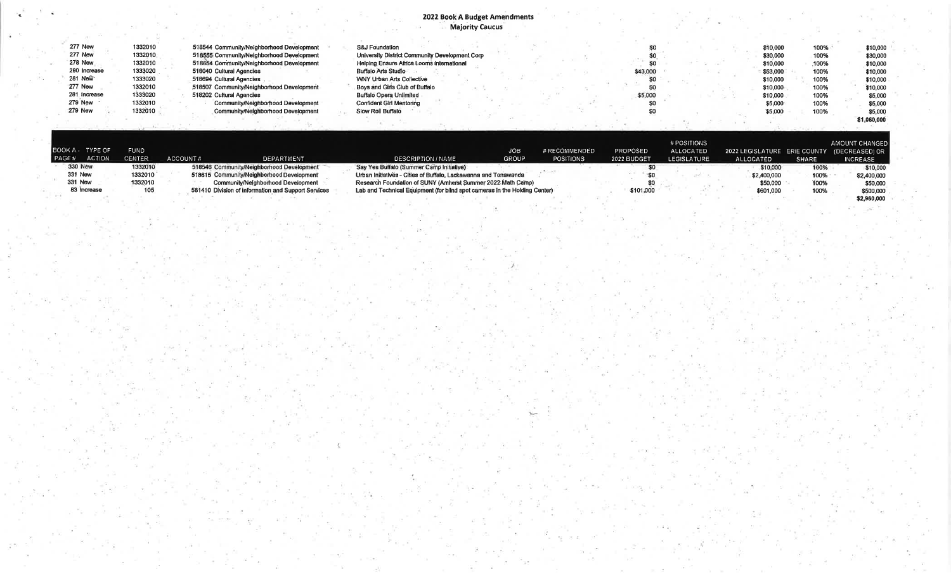## 2022 Book A Budget Amendments<br>Majority Caucus

| 277 New        | 1332010 | 518544 Community/Neighborhood Development | <b>S&amp;J Foundation</b>                      |  |  |          |  | \$10,000 | 100% | \$10,000    |  |
|----------------|---------|-------------------------------------------|------------------------------------------------|--|--|----------|--|----------|------|-------------|--|
| 277 New        | 1332010 | 518555 Community/Neighborhood Development | University District Community Development Corp |  |  |          |  | \$30,000 | 100% | \$30,000    |  |
| <b>278 New</b> | 1332010 | 518654 Community/Neighborhood Development | Helping Ensure Africa Looms International      |  |  |          |  | \$10,000 | 100% | \$10,000    |  |
| 280 Increase   | 1333020 | 518040 Cultural Agencies                  | <b>Buffalo Arts Studio</b>                     |  |  | \$43,000 |  | \$53,000 | 100% | \$10,000    |  |
| 281 New        | 1333020 | 518694 Cultural Agencies                  | WNY Urban Arts Collective                      |  |  |          |  | \$10,000 | 100% | \$10,000    |  |
| <b>277 New</b> | 1332010 | 518507 Community/Neighborhood Development | Boys and Girls Club of Buffalo                 |  |  |          |  | \$10,000 | 100% | \$10,000    |  |
| 281 Increase   | 1333020 | 518202 Cultural Agencies                  | <b>Buffalo Opera Unlimited</b>                 |  |  | \$5,000  |  | \$10,000 | 100% | \$5,000     |  |
| <b>279 New</b> | 1332010 | Community/Neighborhood Development        | <b>Confident Girl Mentoring</b>                |  |  |          |  | \$5,000  | 100% | \$5,000     |  |
| <b>279 New</b> | 1332010 | Community/Neighborhood Development        | Slow Roll Buffalo                              |  |  |          |  | \$5,000  | 100% | \$5,000     |  |
|                |         |                                           |                                                |  |  |          |  |          |      | \$1,060,000 |  |

| I PAGE# | BOOK A TYPE OF<br><b>ACTION</b> | <b>FUND</b><br>CENTER | ACCOUNT# | DEPARTMENT                                          | <b>DESCRIPTION / NAME</b>                                                  | IOB.<br><b>GROUP</b> | # RECOMMENDED<br><b>POSITIONS</b> | <b>PROPOSED</b><br>2022 BUDGET | # POSITIONS<br>ALLOCATED<br><b>LEGISLATURE</b> | 2022 LEGISLATURE ERIE COUNTY (DECREASED) OR<br>ALLOCATED | <b>SHARE</b> | AMOUNT CHANGED<br><b>INCREASE</b> |
|---------|---------------------------------|-----------------------|----------|-----------------------------------------------------|----------------------------------------------------------------------------|----------------------|-----------------------------------|--------------------------------|------------------------------------------------|----------------------------------------------------------|--------------|-----------------------------------|
|         | <b>330 New</b>                  | 1332010               |          | 518546 Community/Neighborhood Development           | Say Yes Buffalo (Summer Camp Initiative)                                   |                      |                                   |                                |                                                | \$10,000                                                 | 100%         | \$10,000                          |
|         | 331 New                         | 1332010               |          | 518615 Community/Neighborhood Development           | Urban Initiatives - Cities of Buffalo, Lackawanna and Tonawanda            |                      |                                   |                                |                                                | \$2,400,000                                              | 100%         | \$2,400,000                       |
|         | 331 New                         | 1332010               |          | Community/Neighborhood Development                  | Research Foundation of SUNY (Amherst Summer 2022 Math Camp)                |                      |                                   |                                |                                                | \$50,000                                                 | 100%         | \$50,000                          |
|         | 83 Increase                     | 105                   |          | 561410 Division of Information and Support Services | Lab and Technical Equipment (for blind spot cameras in the Holding Center) |                      |                                   | \$101,000                      |                                                | \$601,000                                                | 100%         | \$500,000                         |
|         |                                 |                       |          |                                                     |                                                                            |                      |                                   |                                |                                                |                                                          |              | \$2,960,000                       |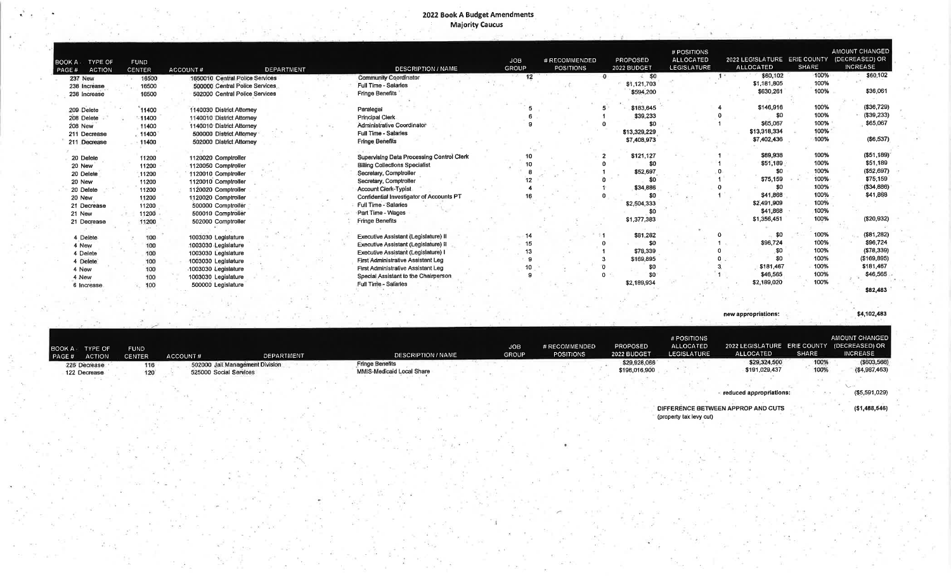## **2022 Book A Budget Amendments<br>Majority Caucus**

| TYPE OF<br>IOOK A<br><b>ACTION</b><br>PAGE# | <b>FUND</b><br><b>CENTER</b> | <b>DEPARTMENT</b><br>ACCOUNT#   | <b>DESCRIPTION / NAME</b>                 | <b>JOB</b><br>GROUP | # RECOMMENDED<br><b>POSITIONS</b> | PROPOSED<br>2022 BUDGET | # POSITIONS<br><b>ALLOCATED</b><br>LEGISLATURE | 2022 LEGISLATURE ERIE COUNTY<br><b>ALLOCATED</b> | SHARE | <b>AMOUNT CHANGED</b><br>(DECREASED) OR<br><b>INCREASE</b> |
|---------------------------------------------|------------------------------|---------------------------------|-------------------------------------------|---------------------|-----------------------------------|-------------------------|------------------------------------------------|--------------------------------------------------|-------|------------------------------------------------------------|
| <b>237 New</b>                              | 16500                        | 1650010 Central Police Services | <b>Community Coordinator</b>              | 12                  |                                   | $\epsilon$ so           |                                                | \$60,102                                         | 100%  | \$60,102                                                   |
| 238 Increase                                | 16500                        | 500000 Central Police Services  | <b>Full Time - Salaries</b>               |                     |                                   | \$1,121,703             |                                                | \$1,181,805                                      | 100%  |                                                            |
| 238 Increase                                | 16500                        | 502000 Central Police Services  | <b>Fringe Benefits</b>                    |                     |                                   | \$594,200               |                                                | \$630,261                                        | 100%  | \$36,061                                                   |
|                                             |                              |                                 |                                           |                     |                                   |                         |                                                |                                                  |       |                                                            |
| 209 Delete                                  | 11400                        | 1140030 District Attomey        | Paralegal                                 |                     |                                   | \$183,645               |                                                | \$146,916                                        | 100%  | ( \$36, 729)                                               |
| 208 Delete                                  | $-11400$                     | 1140010 District Attorney       | Principal Clerk                           |                     |                                   | \$39,233                |                                                | \$0                                              | 100%  | (\$39,233)                                                 |
| <b>208 New</b>                              | 11400                        | 1140010 District Attorney       | Administrative Coordinator                |                     |                                   | \$0                     |                                                | \$65,067                                         | 100%  | \$65,067                                                   |
| 211 Decrease                                | . 11400                      | 500000 District Attomey         | <b>Full Time - Salaries</b>               |                     |                                   | \$13,329,229            |                                                | \$13,318,334                                     | 100%  |                                                            |
| 211 Decrease                                | 11400                        | 502000 District Attorney        | <b>Fringe Benefits</b>                    |                     |                                   | \$7,408,973             |                                                | \$7,402,436                                      | 100%  | (\$6,537)                                                  |
|                                             |                              |                                 |                                           |                     |                                   |                         |                                                |                                                  |       |                                                            |
| 20 Delete                                   | 11200                        | 1120020 Comptroller             | Supervising Data Processing Control Clerk |                     |                                   | \$121,127               |                                                | \$69,938                                         | 100%  | ( \$51, 189)                                               |
| 20 New                                      | 11200                        | 1120050 Comptroller             | <b>Billing Collections Specialist</b>     |                     |                                   | \$0                     |                                                | \$51,189                                         | 100%  | \$51,189                                                   |
| 20 Delete                                   | 11200                        | 1120010 Comptroller             | Secretary, Comptroller                    |                     |                                   | \$52,697                |                                                | \$0                                              | 100%  | ( \$52,697)                                                |
| 20 New                                      | 11200                        | 1120010 Comptroller             | Secretary, Comptroller                    |                     |                                   | <b>SO</b>               |                                                | \$75,159                                         | 100%  | \$75,159                                                   |
| 20 Delete                                   | 11200                        | 1120020 Comptroller             | <b>Account Clerk-Typist</b>               |                     |                                   | \$34,886                |                                                | <b>SO</b>                                        | 100%  | ( \$34, 886)                                               |
| 20 New                                      | 11200                        | 1120020 Comptroller             | Confidential Investigator of Accounts PT  |                     |                                   |                         |                                                | \$41,868                                         | 100%  | \$41,868                                                   |
| 21 Decrease                                 | 11200                        | 500000 Comptroller              | Full Time - Salaries                      |                     |                                   | \$2,504,333             |                                                | \$2,491,909                                      | 100%  |                                                            |
| 21 New                                      | 11200                        | 500010 Comptroller              | Part Time - Wages                         |                     |                                   |                         |                                                | \$41,868                                         | 100%  |                                                            |
| 21 Decrease                                 | 11200                        | 502000 Comptroller              | <b>Fringe Benefits</b>                    |                     |                                   | \$1,377,383             |                                                | \$1,356,451                                      | 100%  | (\$20,932)                                                 |
|                                             |                              |                                 |                                           |                     |                                   |                         |                                                |                                                  |       |                                                            |
| 4 Delete                                    | 100                          | 1003030 Legislature             | Executive Assistant (Legislature) II      |                     |                                   | \$81,282                |                                                | \$0                                              | 100%  | (\$81,282)                                                 |
| 4 New                                       | 100                          | 1003030 Legislature             | Executive Assistant (Legislature) II      | 15                  |                                   | \$0                     |                                                | \$96,724                                         | 100%  | \$96,724                                                   |
| 4 Delete                                    | 100                          | 1003030 Legislature             | Executive Assistant (Legislature) I       |                     |                                   | \$78,339                |                                                | \$0                                              | 100%  | (\$78,339)                                                 |
| 4 Delete                                    | 100                          | 1003030 Legislature             | <b>First Administrative Assistant Leg</b> |                     |                                   | \$169,895               |                                                | \$0                                              | 100%  | ( \$169, 895)                                              |
| 4 New                                       | 100                          | 1003030 Legislature             | First Administrative Assistant Leg        |                     |                                   | \$0                     |                                                | \$181,467                                        | 100%  | \$181,467                                                  |
| 4 New                                       | 100                          | 1003030 Legislature             | Special Assistant to the Chairperson      |                     |                                   | \$0                     |                                                | \$46,565                                         | 100%  | \$46,565                                                   |
| 6 Increase                                  | 100                          | 500000 Legislature              | Full Time - Salaries                      |                     |                                   | \$2,189,934             |                                                | \$2,189,020                                      | 100%  |                                                            |
|                                             |                              |                                 |                                           |                     |                                   |                         |                                                |                                                  |       | \$82,483                                                   |

new appropriations:

| 300K A TYPE OF<br>PAGE#<br><b>ACTION</b> | FUND<br><b>CENTER</b> | ACCOUNT#               | <b>DEPARTMENT</b>               | <b>DESCRIPTION / NAME</b>                           | JOB.<br><b>GROUP</b> | # RECOMMENDED<br><b>POSITIONS</b> | <b>PROPOSED</b><br>2022 BUDGET | # POSITIONS<br><b>ALLOCATED</b><br><b>LEGISLATURE</b> | 2022 LEGISLATURE ERIE COUNTY (DECREASED) OR<br>ALLOCATED | <b>SHARE</b> | AMOUNT CHANGED<br><b>INCREASE</b> |
|------------------------------------------|-----------------------|------------------------|---------------------------------|-----------------------------------------------------|----------------------|-----------------------------------|--------------------------------|-------------------------------------------------------|----------------------------------------------------------|--------------|-----------------------------------|
| 226 Decrease<br>122 Decrease             | 116<br>120            | 525000 Social Services | 502000 Jail Management Division | <b>Fringe Benefits</b><br>MMIS-Medicaid Local Share |                      |                                   | \$29,928,066<br>\$196,016,900  |                                                       | \$29,324,500<br>\$191,029,437                            | 100%<br>100% | ( \$603, 566)<br>( \$4,987,463)   |
|                                          |                       |                        |                                 |                                                     |                      |                                   |                                |                                                       | reduced appropriations:                                  |              | (\$5,591,029)                     |

DIFFERENCE BETWEEN APPROP AND CUTS<br>(property tax levy cut)

 $( $1,488,546)$ 

\$4,102,483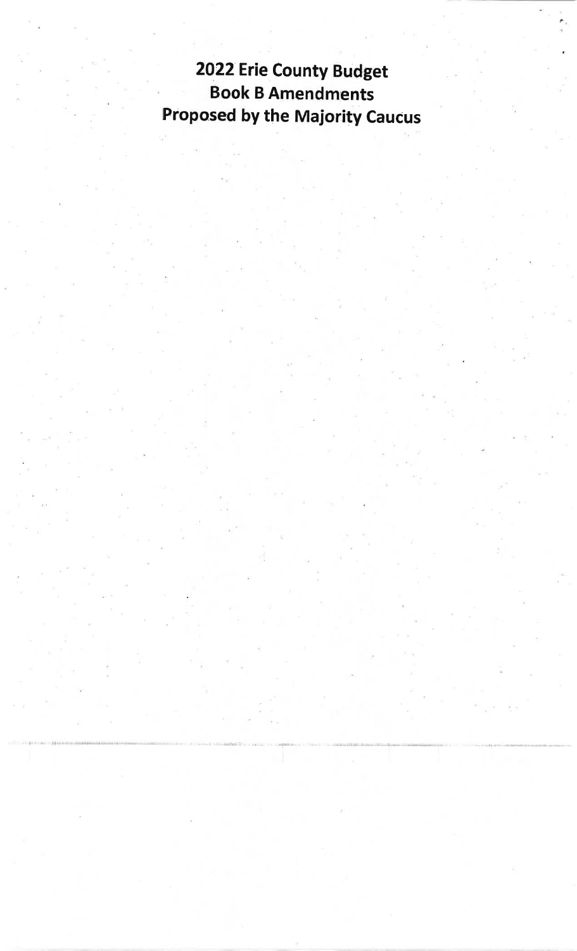2022 Erie County Budget **Book B Amendments Proposed by the Majority Caucus**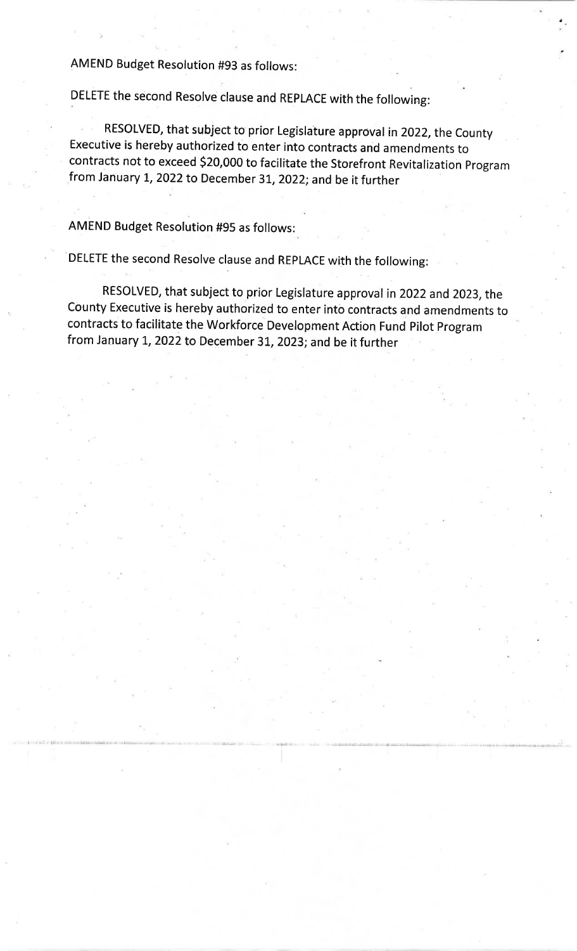AMEND Budget Resolution #93 as follows:

DELETE the second Resolve clause and REPLACE with the following:

RESOLVED, that subject to prior Legislature approval in 2022, the County Executive is hereby authorized to enter into contracts and amendments to contracts not to exceed \$20,000 to facilitate the Storefront Revitalization Program from January 1, 2022 to December 31, 2022; and be it further

**AMEND Budget Resolution #95 as follows:** 

DELETE the second Resolve clause and REPLACE with the following:

RESOLVED, that subject to prior Legislature approval in 2022 and 2023, the County Executive is hereby authorized to enter into contracts and amendments to contracts to facilitate the Workforce Development Action Fund Pilot Program from January 1, 2022 to December 31, 2023; and be it further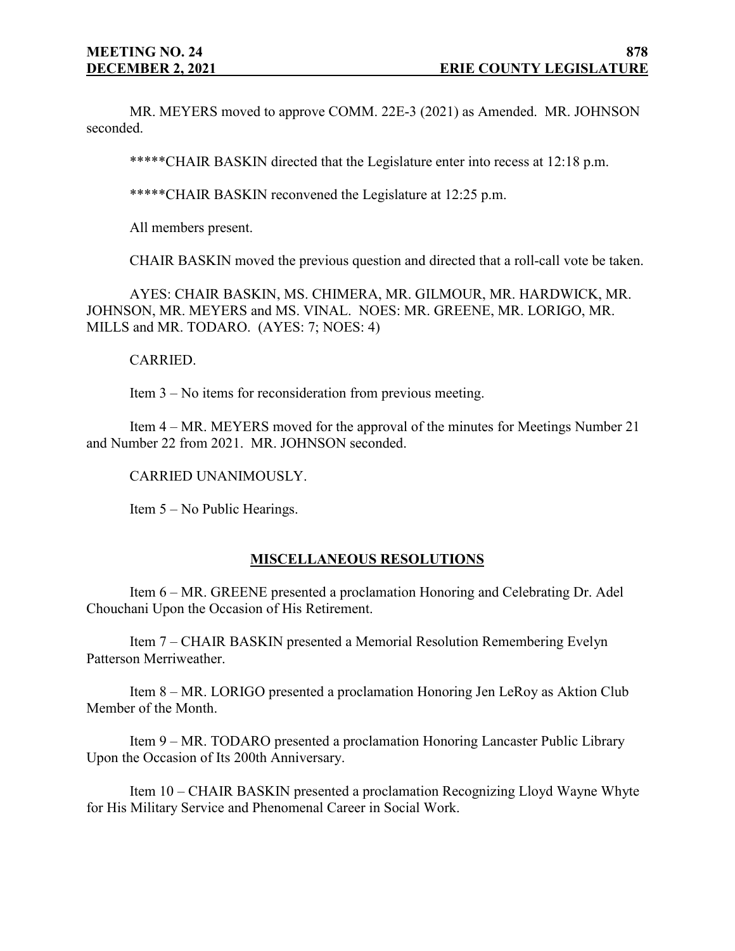MR. MEYERS moved to approve COMM. 22E-3 (2021) as Amended. MR. JOHNSON seconded.

\*\*\*\*\*CHAIR BASKIN directed that the Legislature enter into recess at 12:18 p.m.

\*\*\*\*\*CHAIR BASKIN reconvened the Legislature at 12:25 p.m.

All members present.

CHAIR BASKIN moved the previous question and directed that a roll-call vote be taken.

AYES: CHAIR BASKIN, MS. CHIMERA, MR. GILMOUR, MR. HARDWICK, MR. JOHNSON, MR. MEYERS and MS. VINAL. NOES: MR. GREENE, MR. LORIGO, MR. MILLS and MR. TODARO. (AYES: 7; NOES: 4)

#### CARRIED.

Item 3 – No items for reconsideration from previous meeting.

Item 4 – MR. MEYERS moved for the approval of the minutes for Meetings Number 21 and Number 22 from 2021. MR. JOHNSON seconded.

#### CARRIED UNANIMOUSLY.

Item 5 – No Public Hearings.

## **MISCELLANEOUS RESOLUTIONS**

Item 6 – MR. GREENE presented a proclamation Honoring and Celebrating Dr. Adel Chouchani Upon the Occasion of His Retirement.

Item 7 – CHAIR BASKIN presented a Memorial Resolution Remembering Evelyn Patterson Merriweather.

Item 8 – MR. LORIGO presented a proclamation Honoring Jen LeRoy as Aktion Club Member of the Month.

Item 9 – MR. TODARO presented a proclamation Honoring Lancaster Public Library Upon the Occasion of Its 200th Anniversary.

Item 10 – CHAIR BASKIN presented a proclamation Recognizing Lloyd Wayne Whyte for His Military Service and Phenomenal Career in Social Work.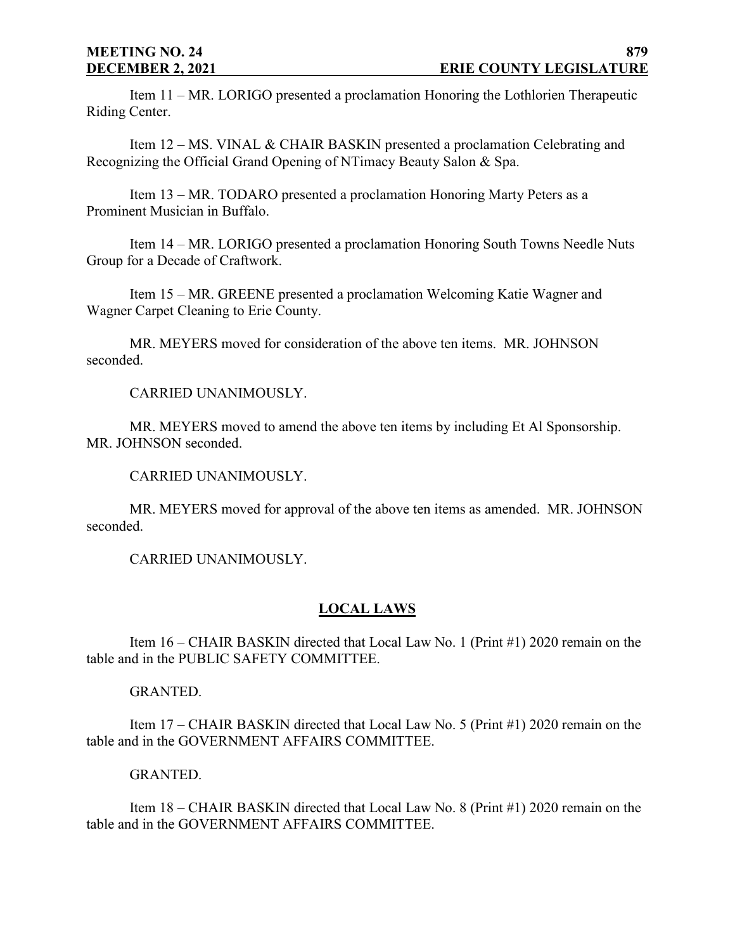Item 11 – MR. LORIGO presented a proclamation Honoring the Lothlorien Therapeutic Riding Center.

Item 12 – MS. VINAL & CHAIR BASKIN presented a proclamation Celebrating and Recognizing the Official Grand Opening of NTimacy Beauty Salon & Spa.

Item 13 – MR. TODARO presented a proclamation Honoring Marty Peters as a Prominent Musician in Buffalo.

Item 14 – MR. LORIGO presented a proclamation Honoring South Towns Needle Nuts Group for a Decade of Craftwork.

Item 15 – MR. GREENE presented a proclamation Welcoming Katie Wagner and Wagner Carpet Cleaning to Erie County.

MR. MEYERS moved for consideration of the above ten items. MR. JOHNSON seconded.

CARRIED UNANIMOUSLY.

MR. MEYERS moved to amend the above ten items by including Et Al Sponsorship. MR. JOHNSON seconded.

CARRIED UNANIMOUSLY.

MR. MEYERS moved for approval of the above ten items as amended. MR. JOHNSON seconded.

CARRIED UNANIMOUSLY.

## **LOCAL LAWS**

Item 16 – CHAIR BASKIN directed that Local Law No. 1 (Print #1) 2020 remain on the table and in the PUBLIC SAFETY COMMITTEE.

## GRANTED.

Item 17 – CHAIR BASKIN directed that Local Law No. 5 (Print #1) 2020 remain on the table and in the GOVERNMENT AFFAIRS COMMITTEE.

## GRANTED.

Item 18 – CHAIR BASKIN directed that Local Law No. 8 (Print #1) 2020 remain on the table and in the GOVERNMENT AFFAIRS COMMITTEE.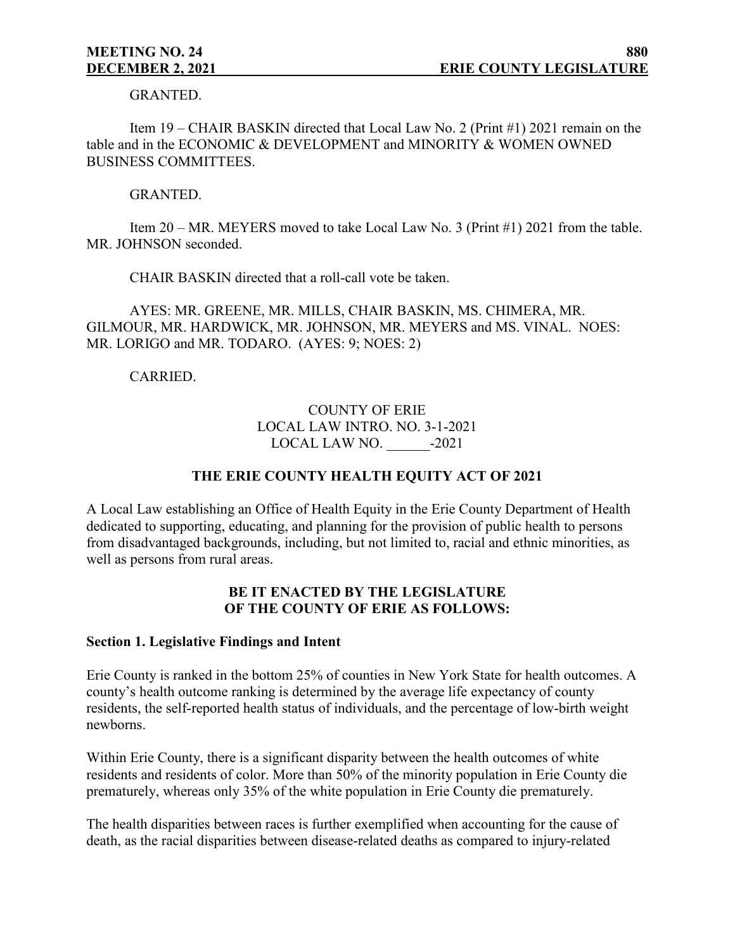GRANTED.

Item 19 – CHAIR BASKIN directed that Local Law No. 2 (Print #1) 2021 remain on the table and in the ECONOMIC & DEVELOPMENT and MINORITY & WOMEN OWNED BUSINESS COMMITTEES.

#### GRANTED.

Item 20 – MR. MEYERS moved to take Local Law No. 3 (Print #1) 2021 from the table. MR. JOHNSON seconded.

CHAIR BASKIN directed that a roll-call vote be taken.

AYES: MR. GREENE, MR. MILLS, CHAIR BASKIN, MS. CHIMERA, MR. GILMOUR, MR. HARDWICK, MR. JOHNSON, MR. MEYERS and MS. VINAL. NOES: MR. LORIGO and MR. TODARO. (AYES: 9; NOES: 2)

## CARRIED.

## COUNTY OF ERIE LOCAL LAW INTRO. NO. 3-1-2021 LOCAL LAW NO.  $-2021$

## **THE ERIE COUNTY HEALTH EQUITY ACT OF 2021**

A Local Law establishing an Office of Health Equity in the Erie County Department of Health dedicated to supporting, educating, and planning for the provision of public health to persons from disadvantaged backgrounds, including, but not limited to, racial and ethnic minorities, as well as persons from rural areas.

## **BE IT ENACTED BY THE LEGISLATURE OF THE COUNTY OF ERIE AS FOLLOWS:**

#### **Section 1. Legislative Findings and Intent**

Erie County is ranked in the bottom 25% of counties in New York State for health outcomes. A county's health outcome ranking is determined by the average life expectancy of county residents, the self-reported health status of individuals, and the percentage of low-birth weight newborns.

Within Erie County, there is a significant disparity between the health outcomes of white residents and residents of color. More than 50% of the minority population in Erie County die prematurely, whereas only 35% of the white population in Erie County die prematurely.

The health disparities between races is further exemplified when accounting for the cause of death, as the racial disparities between disease-related deaths as compared to injury-related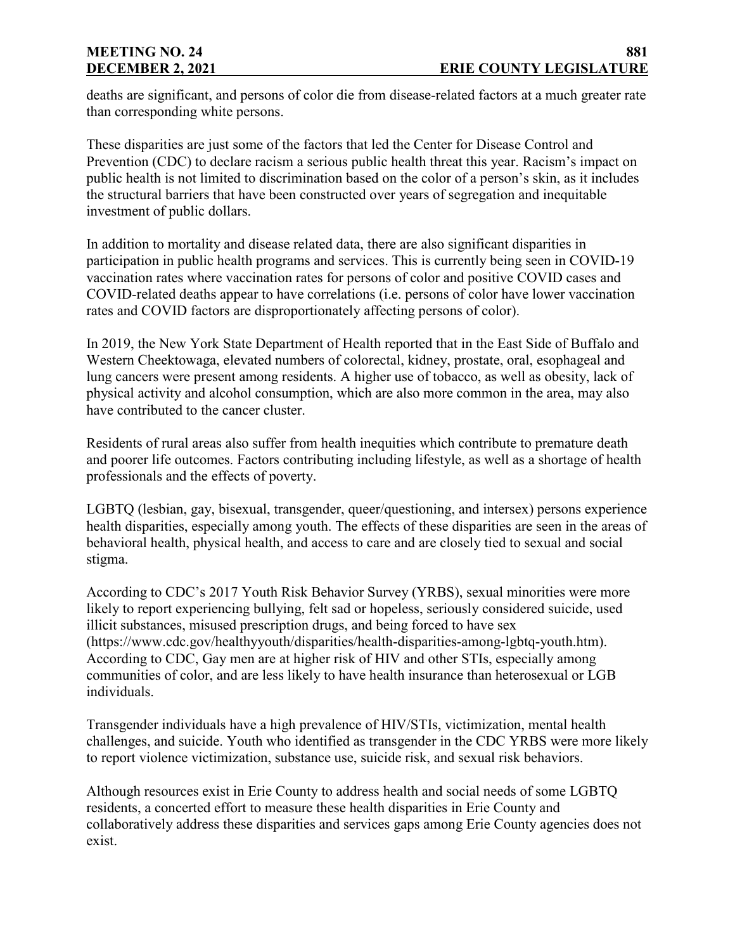deaths are significant, and persons of color die from disease-related factors at a much greater rate than corresponding white persons.

These disparities are just some of the factors that led the Center for Disease Control and Prevention (CDC) to declare racism a serious public health threat this year. Racism's impact on public health is not limited to discrimination based on the color of a person's skin, as it includes the structural barriers that have been constructed over years of segregation and inequitable investment of public dollars.

In addition to mortality and disease related data, there are also significant disparities in participation in public health programs and services. This is currently being seen in COVID-19 vaccination rates where vaccination rates for persons of color and positive COVID cases and COVID-related deaths appear to have correlations (i.e. persons of color have lower vaccination rates and COVID factors are disproportionately affecting persons of color).

In 2019, the New York State Department of Health reported that in the East Side of Buffalo and Western Cheektowaga, elevated numbers of colorectal, kidney, prostate, oral, esophageal and lung cancers were present among residents. A higher use of tobacco, as well as obesity, lack of physical activity and alcohol consumption, which are also more common in the area, may also have contributed to the cancer cluster.

Residents of rural areas also suffer from health inequities which contribute to premature death and poorer life outcomes. Factors contributing including lifestyle, as well as a shortage of health professionals and the effects of poverty.

LGBTQ (lesbian, gay, bisexual, transgender, queer/questioning, and intersex) persons experience health disparities, especially among youth. The effects of these disparities are seen in the areas of behavioral health, physical health, and access to care and are closely tied to sexual and social stigma.

According to CDC's 2017 Youth Risk Behavior Survey (YRBS), sexual minorities were more likely to report experiencing bullying, felt sad or hopeless, seriously considered suicide, used illicit substances, misused prescription drugs, and being forced to have sex (https://www.cdc.gov/healthyyouth/disparities/health-disparities-among-lgbtq-youth.htm). According to CDC, Gay men are at higher risk of HIV and other STIs, especially among communities of color, and are less likely to have health insurance than heterosexual or LGB individuals.

Transgender individuals have a high prevalence of HIV/STIs, victimization, mental health challenges, and suicide. Youth who identified as transgender in the CDC YRBS were more likely to report violence victimization, substance use, suicide risk, and sexual risk behaviors.

Although resources exist in Erie County to address health and social needs of some LGBTQ residents, a concerted effort to measure these health disparities in Erie County and collaboratively address these disparities and services gaps among Erie County agencies does not exist.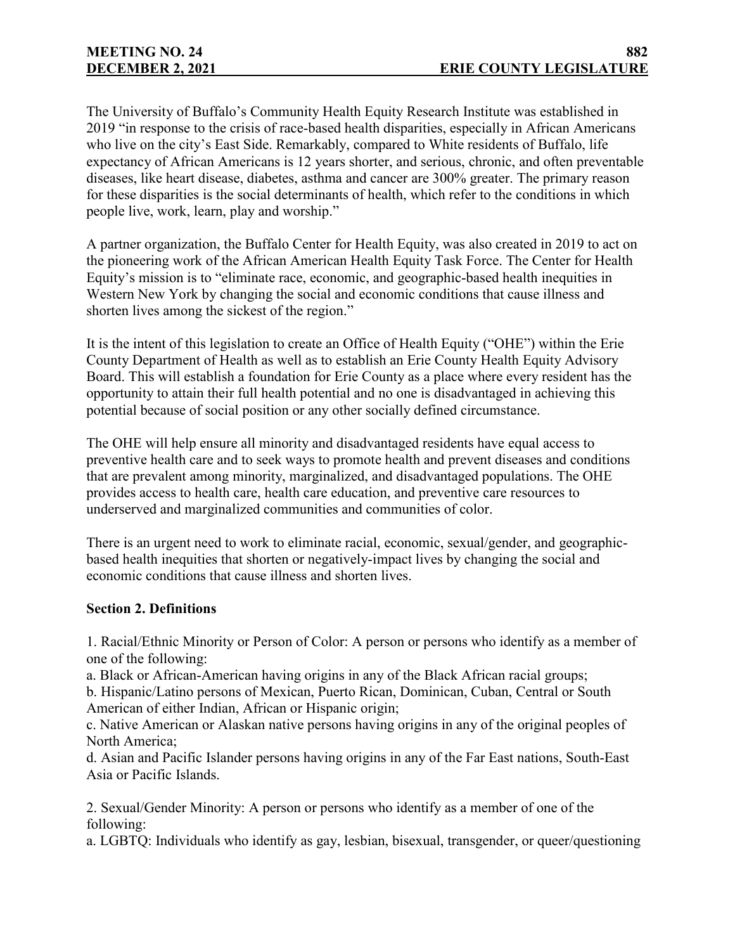The University of Buffalo's Community Health Equity Research Institute was established in 2019 "in response to the crisis of race-based health disparities, especially in African Americans who live on the city's East Side. Remarkably, compared to White residents of Buffalo, life expectancy of African Americans is 12 years shorter, and serious, chronic, and often preventable diseases, like heart disease, diabetes, asthma and cancer are 300% greater. The primary reason for these disparities is the social determinants of health, which refer to the conditions in which people live, work, learn, play and worship."

A partner organization, the Buffalo Center for Health Equity, was also created in 2019 to act on the pioneering work of the African American Health Equity Task Force. The Center for Health Equity's mission is to "eliminate race, economic, and geographic-based health inequities in Western New York by changing the social and economic conditions that cause illness and shorten lives among the sickest of the region."

It is the intent of this legislation to create an Office of Health Equity ("OHE") within the Erie County Department of Health as well as to establish an Erie County Health Equity Advisory Board. This will establish a foundation for Erie County as a place where every resident has the opportunity to attain their full health potential and no one is disadvantaged in achieving this potential because of social position or any other socially defined circumstance.

The OHE will help ensure all minority and disadvantaged residents have equal access to preventive health care and to seek ways to promote health and prevent diseases and conditions that are prevalent among minority, marginalized, and disadvantaged populations. The OHE provides access to health care, health care education, and preventive care resources to underserved and marginalized communities and communities of color.

There is an urgent need to work to eliminate racial, economic, sexual/gender, and geographicbased health inequities that shorten or negatively-impact lives by changing the social and economic conditions that cause illness and shorten lives.

## **Section 2. Definitions**

1. Racial/Ethnic Minority or Person of Color: A person or persons who identify as a member of one of the following:

a. Black or African-American having origins in any of the Black African racial groups;

b. Hispanic/Latino persons of Mexican, Puerto Rican, Dominican, Cuban, Central or South American of either Indian, African or Hispanic origin;

c. Native American or Alaskan native persons having origins in any of the original peoples of North America;

d. Asian and Pacific Islander persons having origins in any of the Far East nations, South-East Asia or Pacific Islands.

2. Sexual/Gender Minority: A person or persons who identify as a member of one of the following:

a. LGBTQ: Individuals who identify as gay, lesbian, bisexual, transgender, or queer/questioning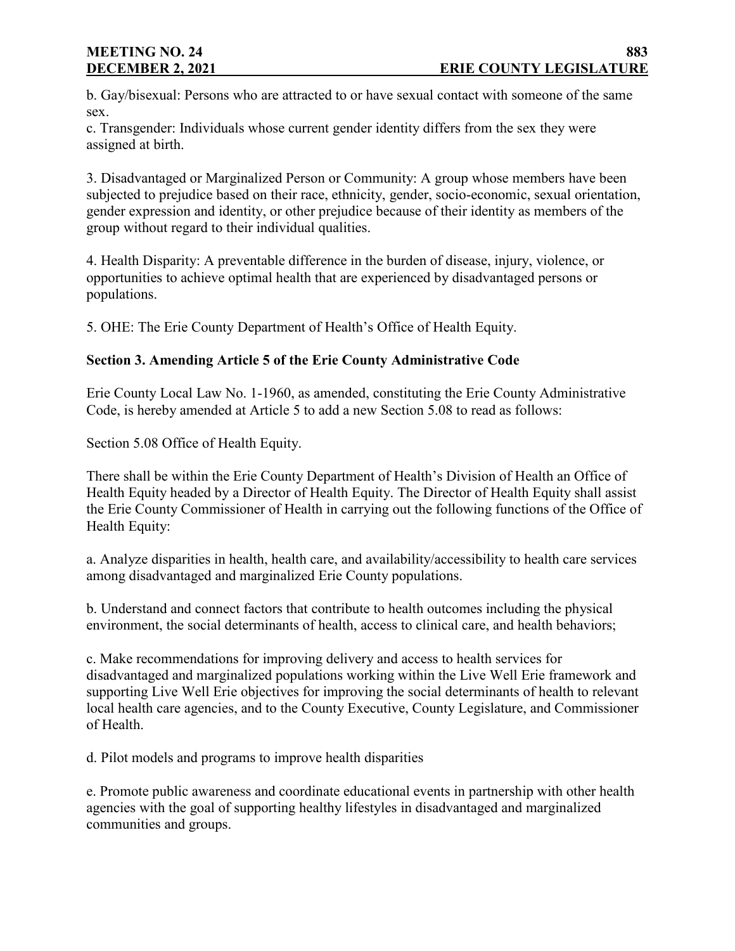# **MEETING NO. 24**

b. Gay/bisexual: Persons who are attracted to or have sexual contact with someone of the same sex.

c. Transgender: Individuals whose current gender identity differs from the sex they were assigned at birth.

3. Disadvantaged or Marginalized Person or Community: A group whose members have been subjected to prejudice based on their race, ethnicity, gender, socio-economic, sexual orientation, gender expression and identity, or other prejudice because of their identity as members of the group without regard to their individual qualities.

4. Health Disparity: A preventable difference in the burden of disease, injury, violence, or opportunities to achieve optimal health that are experienced by disadvantaged persons or populations.

5. OHE: The Erie County Department of Health's Office of Health Equity.

## **Section 3. Amending Article 5 of the Erie County Administrative Code**

Erie County Local Law No. 1-1960, as amended, constituting the Erie County Administrative Code, is hereby amended at Article 5 to add a new Section 5.08 to read as follows:

Section 5.08 Office of Health Equity.

There shall be within the Erie County Department of Health's Division of Health an Office of Health Equity headed by a Director of Health Equity. The Director of Health Equity shall assist the Erie County Commissioner of Health in carrying out the following functions of the Office of Health Equity:

a. Analyze disparities in health, health care, and availability/accessibility to health care services among disadvantaged and marginalized Erie County populations.

b. Understand and connect factors that contribute to health outcomes including the physical environment, the social determinants of health, access to clinical care, and health behaviors;

c. Make recommendations for improving delivery and access to health services for disadvantaged and marginalized populations working within the Live Well Erie framework and supporting Live Well Erie objectives for improving the social determinants of health to relevant local health care agencies, and to the County Executive, County Legislature, and Commissioner of Health.

d. Pilot models and programs to improve health disparities

e. Promote public awareness and coordinate educational events in partnership with other health agencies with the goal of supporting healthy lifestyles in disadvantaged and marginalized communities and groups.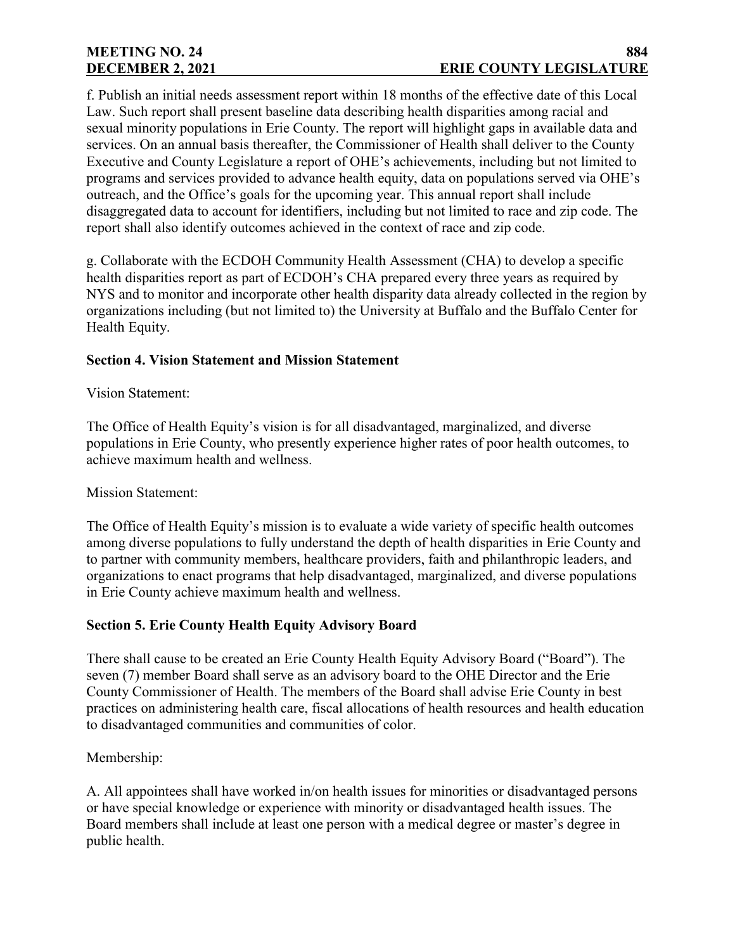f. Publish an initial needs assessment report within 18 months of the effective date of this Local Law. Such report shall present baseline data describing health disparities among racial and sexual minority populations in Erie County. The report will highlight gaps in available data and services. On an annual basis thereafter, the Commissioner of Health shall deliver to the County Executive and County Legislature a report of OHE's achievements, including but not limited to programs and services provided to advance health equity, data on populations served via OHE's outreach, and the Office's goals for the upcoming year. This annual report shall include disaggregated data to account for identifiers, including but not limited to race and zip code. The report shall also identify outcomes achieved in the context of race and zip code.

g. Collaborate with the ECDOH Community Health Assessment (CHA) to develop a specific health disparities report as part of ECDOH's CHA prepared every three years as required by NYS and to monitor and incorporate other health disparity data already collected in the region by organizations including (but not limited to) the University at Buffalo and the Buffalo Center for Health Equity.

## **Section 4. Vision Statement and Mission Statement**

## Vision Statement:

The Office of Health Equity's vision is for all disadvantaged, marginalized, and diverse populations in Erie County, who presently experience higher rates of poor health outcomes, to achieve maximum health and wellness.

## Mission Statement:

The Office of Health Equity's mission is to evaluate a wide variety of specific health outcomes among diverse populations to fully understand the depth of health disparities in Erie County and to partner with community members, healthcare providers, faith and philanthropic leaders, and organizations to enact programs that help disadvantaged, marginalized, and diverse populations in Erie County achieve maximum health and wellness.

## **Section 5. Erie County Health Equity Advisory Board**

There shall cause to be created an Erie County Health Equity Advisory Board ("Board"). The seven (7) member Board shall serve as an advisory board to the OHE Director and the Erie County Commissioner of Health. The members of the Board shall advise Erie County in best practices on administering health care, fiscal allocations of health resources and health education to disadvantaged communities and communities of color.

## Membership:

A. All appointees shall have worked in/on health issues for minorities or disadvantaged persons or have special knowledge or experience with minority or disadvantaged health issues. The Board members shall include at least one person with a medical degree or master's degree in public health.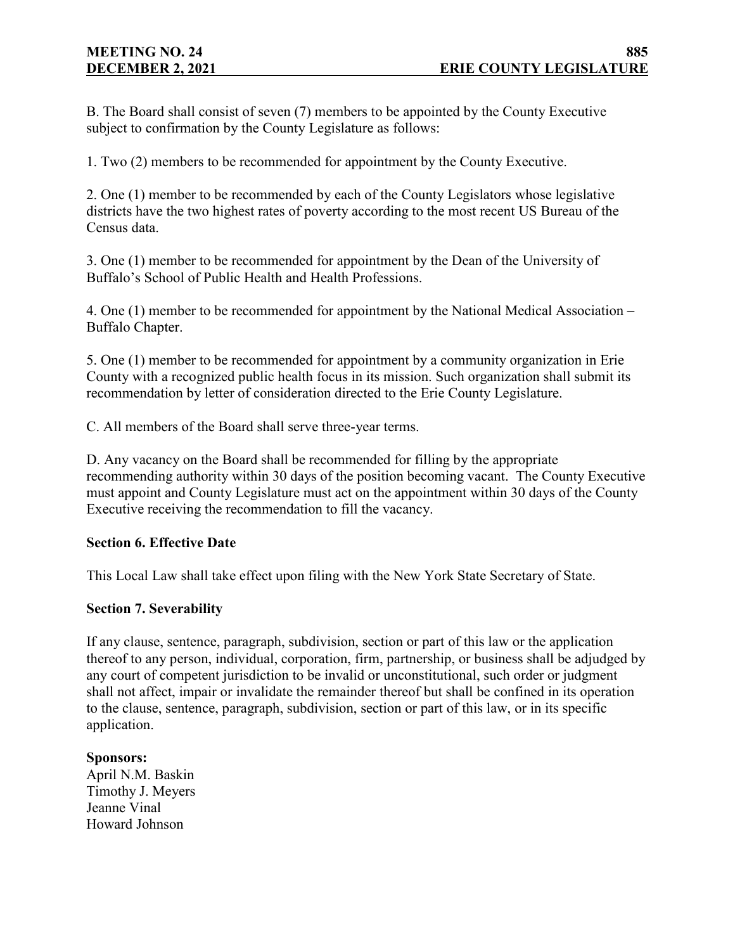B. The Board shall consist of seven (7) members to be appointed by the County Executive subject to confirmation by the County Legislature as follows:

1. Two (2) members to be recommended for appointment by the County Executive.

2. One (1) member to be recommended by each of the County Legislators whose legislative districts have the two highest rates of poverty according to the most recent US Bureau of the Census data.

3. One (1) member to be recommended for appointment by the Dean of the University of Buffalo's School of Public Health and Health Professions.

4. One (1) member to be recommended for appointment by the National Medical Association – Buffalo Chapter.

5. One (1) member to be recommended for appointment by a community organization in Erie County with a recognized public health focus in its mission. Such organization shall submit its recommendation by letter of consideration directed to the Erie County Legislature.

C. All members of the Board shall serve three-year terms.

D. Any vacancy on the Board shall be recommended for filling by the appropriate recommending authority within 30 days of the position becoming vacant. The County Executive must appoint and County Legislature must act on the appointment within 30 days of the County Executive receiving the recommendation to fill the vacancy.

## **Section 6. Effective Date**

This Local Law shall take effect upon filing with the New York State Secretary of State.

#### **Section 7. Severability**

If any clause, sentence, paragraph, subdivision, section or part of this law or the application thereof to any person, individual, corporation, firm, partnership, or business shall be adjudged by any court of competent jurisdiction to be invalid or unconstitutional, such order or judgment shall not affect, impair or invalidate the remainder thereof but shall be confined in its operation to the clause, sentence, paragraph, subdivision, section or part of this law, or in its specific application.

## **Sponsors:**

April N.M. Baskin Timothy J. Meyers Jeanne Vinal Howard Johnson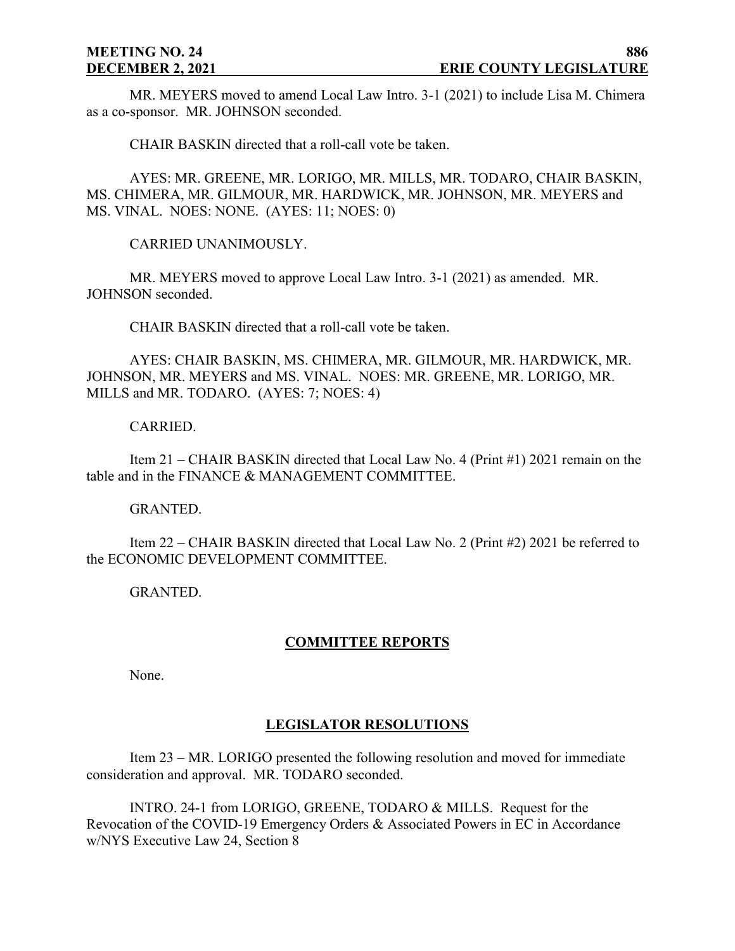MR. MEYERS moved to amend Local Law Intro. 3-1 (2021) to include Lisa M. Chimera as a co-sponsor. MR. JOHNSON seconded.

CHAIR BASKIN directed that a roll-call vote be taken.

AYES: MR. GREENE, MR. LORIGO, MR. MILLS, MR. TODARO, CHAIR BASKIN, MS. CHIMERA, MR. GILMOUR, MR. HARDWICK, MR. JOHNSON, MR. MEYERS and MS. VINAL. NOES: NONE. (AYES: 11; NOES: 0)

CARRIED UNANIMOUSLY.

MR. MEYERS moved to approve Local Law Intro. 3-1 (2021) as amended. MR. JOHNSON seconded.

CHAIR BASKIN directed that a roll-call vote be taken.

AYES: CHAIR BASKIN, MS. CHIMERA, MR. GILMOUR, MR. HARDWICK, MR. JOHNSON, MR. MEYERS and MS. VINAL. NOES: MR. GREENE, MR. LORIGO, MR. MILLS and MR. TODARO. (AYES: 7; NOES: 4)

## CARRIED.

Item 21 – CHAIR BASKIN directed that Local Law No. 4 (Print #1) 2021 remain on the table and in the FINANCE & MANAGEMENT COMMITTEE.

## GRANTED.

Item 22 – CHAIR BASKIN directed that Local Law No. 2 (Print #2) 2021 be referred to the ECONOMIC DEVELOPMENT COMMITTEE.

GRANTED.

## **COMMITTEE REPORTS**

None.

## **LEGISLATOR RESOLUTIONS**

Item 23 – MR. LORIGO presented the following resolution and moved for immediate consideration and approval. MR. TODARO seconded.

INTRO. 24-1 from LORIGO, GREENE, TODARO & MILLS. Request for the Revocation of the COVID-19 Emergency Orders & Associated Powers in EC in Accordance w/NYS Executive Law 24, Section 8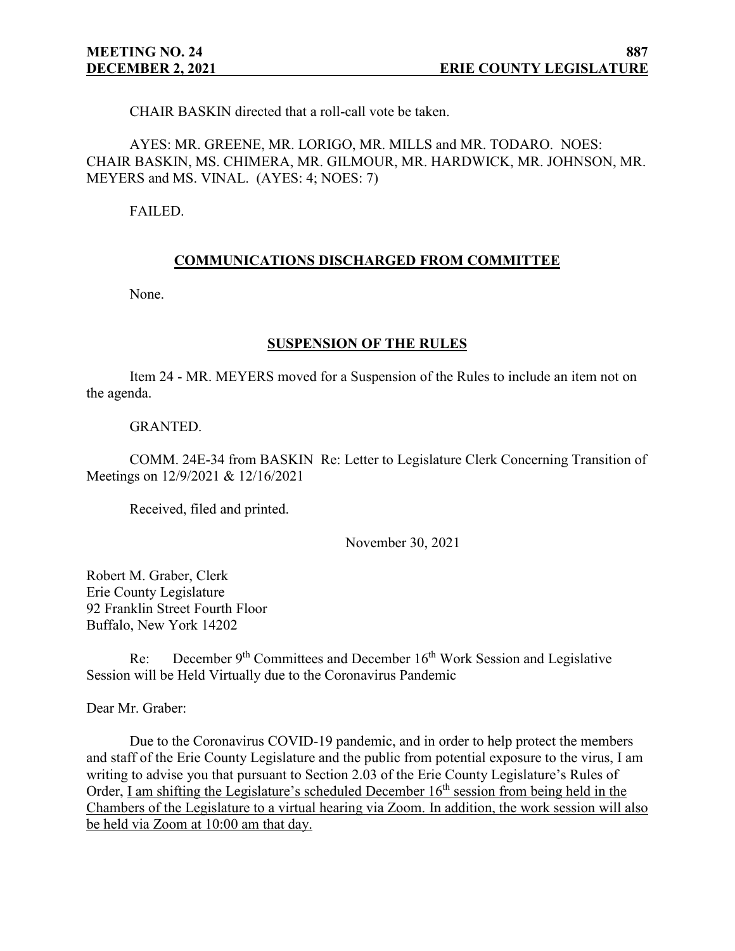CHAIR BASKIN directed that a roll-call vote be taken.

AYES: MR. GREENE, MR. LORIGO, MR. MILLS and MR. TODARO. NOES: CHAIR BASKIN, MS. CHIMERA, MR. GILMOUR, MR. HARDWICK, MR. JOHNSON, MR. MEYERS and MS. VINAL. (AYES: 4; NOES: 7)

FAILED.

#### **COMMUNICATIONS DISCHARGED FROM COMMITTEE**

None.

#### **SUSPENSION OF THE RULES**

Item 24 - MR. MEYERS moved for a Suspension of the Rules to include an item not on the agenda.

#### GRANTED.

COMM. 24E-34 from BASKIN Re: Letter to Legislature Clerk Concerning Transition of Meetings on 12/9/2021 & 12/16/2021

Received, filed and printed.

November 30, 2021

Robert M. Graber, Clerk Erie County Legislature 92 Franklin Street Fourth Floor Buffalo, New York 14202

Re: December  $9<sup>th</sup>$  Committees and December  $16<sup>th</sup>$  Work Session and Legislative Session will be Held Virtually due to the Coronavirus Pandemic

Dear Mr. Graber:

Due to the Coronavirus COVID-19 pandemic, and in order to help protect the members and staff of the Erie County Legislature and the public from potential exposure to the virus, I am writing to advise you that pursuant to Section 2.03 of the Erie County Legislature's Rules of Order, I am shifting the Legislature's scheduled December  $16<sup>th</sup>$  session from being held in the Chambers of the Legislature to a virtual hearing via Zoom. In addition, the work session will also be held via Zoom at 10:00 am that day.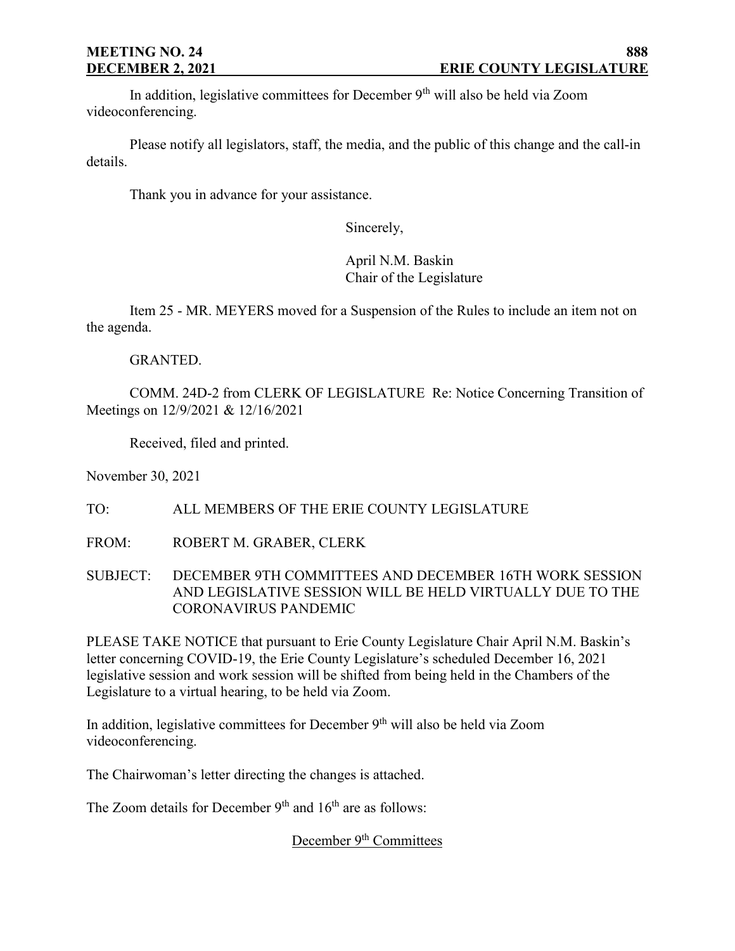In addition, legislative committees for December  $9<sup>th</sup>$  will also be held via Zoom videoconferencing.

Please notify all legislators, staff, the media, and the public of this change and the call-in details.

Thank you in advance for your assistance.

Sincerely,

April N.M. Baskin Chair of the Legislature

Item 25 - MR. MEYERS moved for a Suspension of the Rules to include an item not on the agenda.

## GRANTED.

COMM. 24D-2 from CLERK OF LEGISLATURE Re: Notice Concerning Transition of Meetings on 12/9/2021 & 12/16/2021

Received, filed and printed.

November 30, 2021

TO: ALL MEMBERS OF THE ERIE COUNTY LEGISLATURE

FROM: ROBERT M. GRABER, CLERK

SUBJECT: DECEMBER 9TH COMMITTEES AND DECEMBER 16TH WORK SESSION AND LEGISLATIVE SESSION WILL BE HELD VIRTUALLY DUE TO THE CORONAVIRUS PANDEMIC

PLEASE TAKE NOTICE that pursuant to Erie County Legislature Chair April N.M. Baskin's letter concerning COVID-19, the Erie County Legislature's scheduled December 16, 2021 legislative session and work session will be shifted from being held in the Chambers of the Legislature to a virtual hearing, to be held via Zoom.

In addition, legislative committees for December  $9<sup>th</sup>$  will also be held via Zoom videoconferencing.

The Chairwoman's letter directing the changes is attached.

The Zoom details for December  $9<sup>th</sup>$  and  $16<sup>th</sup>$  are as follows:

December 9<sup>th</sup> Committees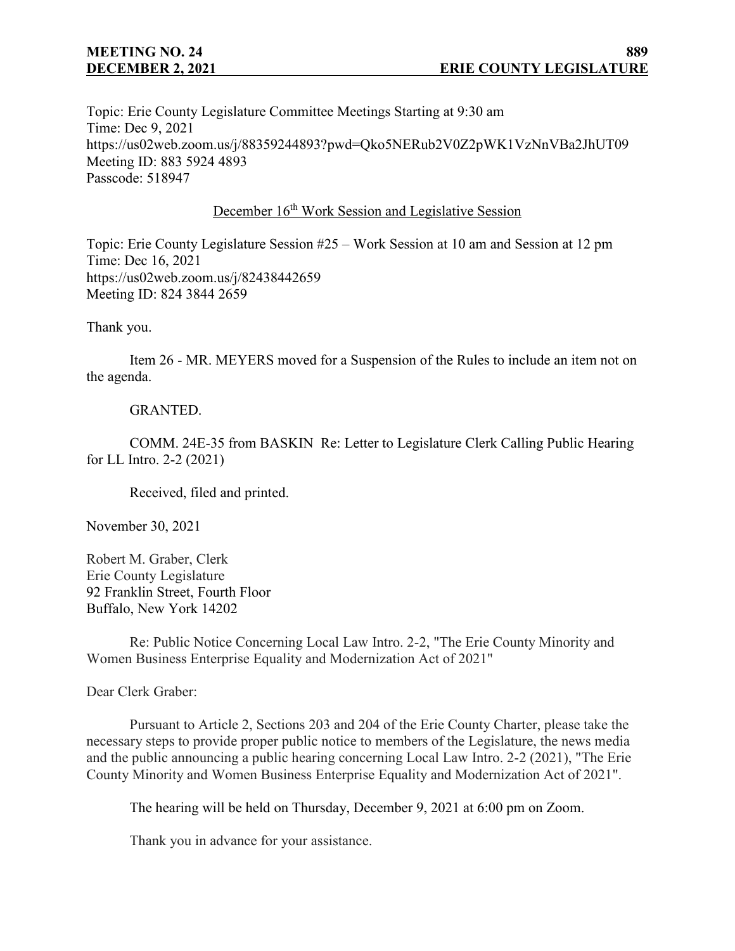# **MEETING NO. 24**

Topic: Erie County Legislature Committee Meetings Starting at 9:30 am Time: Dec 9, 2021 https://us02web.zoom.us/j/88359244893?pwd=Qko5NERub2V0Z2pWK1VzNnVBa2JhUT09 Meeting ID: 883 5924 4893 Passcode: 518947

## December 16<sup>th</sup> Work Session and Legislative Session

Topic: Erie County Legislature Session #25 – Work Session at 10 am and Session at 12 pm Time: Dec 16, 2021 https://us02web.zoom.us/j/82438442659 Meeting ID: 824 3844 2659

Thank you.

Item 26 - MR. MEYERS moved for a Suspension of the Rules to include an item not on the agenda.

## GRANTED.

COMM. 24E-35 from BASKIN Re: Letter to Legislature Clerk Calling Public Hearing for LL Intro. 2-2 (2021)

Received, filed and printed.

November 30, 2021

Robert M. Graber, Clerk Erie County Legislature 92 Franklin Street, Fourth Floor Buffalo, New York 14202

Re: Public Notice Concerning Local Law Intro. 2-2, "The Erie County Minority and Women Business Enterprise Equality and Modernization Act of 2021"

Dear Clerk Graber:

Pursuant to Article 2, Sections 203 and 204 of the Erie County Charter, please take the necessary steps to provide proper public notice to members of the Legislature, the news media and the public announcing a public hearing concerning Local Law Intro. 2-2 (2021), "The Erie County Minority and Women Business Enterprise Equality and Modernization Act of 2021".

The hearing will be held on Thursday, December 9, 2021 at 6:00 pm on Zoom.

Thank you in advance for your assistance.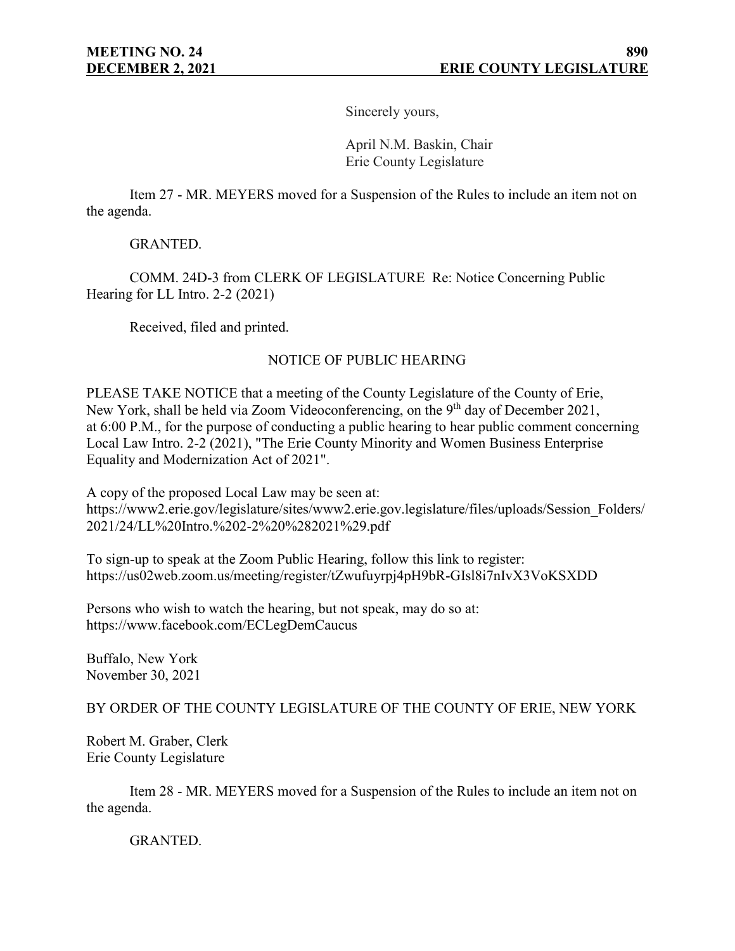Sincerely yours,

April N.M. Baskin, Chair Erie County Legislature

Item 27 - MR. MEYERS moved for a Suspension of the Rules to include an item not on the agenda.

GRANTED.

COMM. 24D-3 from CLERK OF LEGISLATURE Re: Notice Concerning Public Hearing for LL Intro. 2-2 (2021)

Received, filed and printed.

## NOTICE OF PUBLIC HEARING

PLEASE TAKE NOTICE that a meeting of the County Legislature of the County of Erie, New York, shall be held via Zoom Videoconferencing, on the 9<sup>th</sup> day of December 2021, at 6:00 P.M., for the purpose of conducting a public hearing to hear public comment concerning Local Law Intro. 2-2 (2021), "The Erie County Minority and Women Business Enterprise Equality and Modernization Act of 2021".

A copy of the proposed Local Law may be seen at: https://www2.erie.gov/legislature/sites/www2.erie.gov.legislature/files/uploads/Session\_Folders/ 2021/24/LL%20Intro.%202-2%20%282021%29.pdf

To sign-up to speak at the Zoom Public Hearing, follow this link to register: https://us02web.zoom.us/meeting/register/tZwufuyrpj4pH9bR-GIsl8i7nIvX3VoKSXDD

Persons who wish to watch the hearing, but not speak, may do so at: https://www.facebook.com/ECLegDemCaucus

Buffalo, New York November 30, 2021

## BY ORDER OF THE COUNTY LEGISLATURE OF THE COUNTY OF ERIE, NEW YORK

Robert M. Graber, Clerk Erie County Legislature

Item 28 - MR. MEYERS moved for a Suspension of the Rules to include an item not on the agenda.

GRANTED.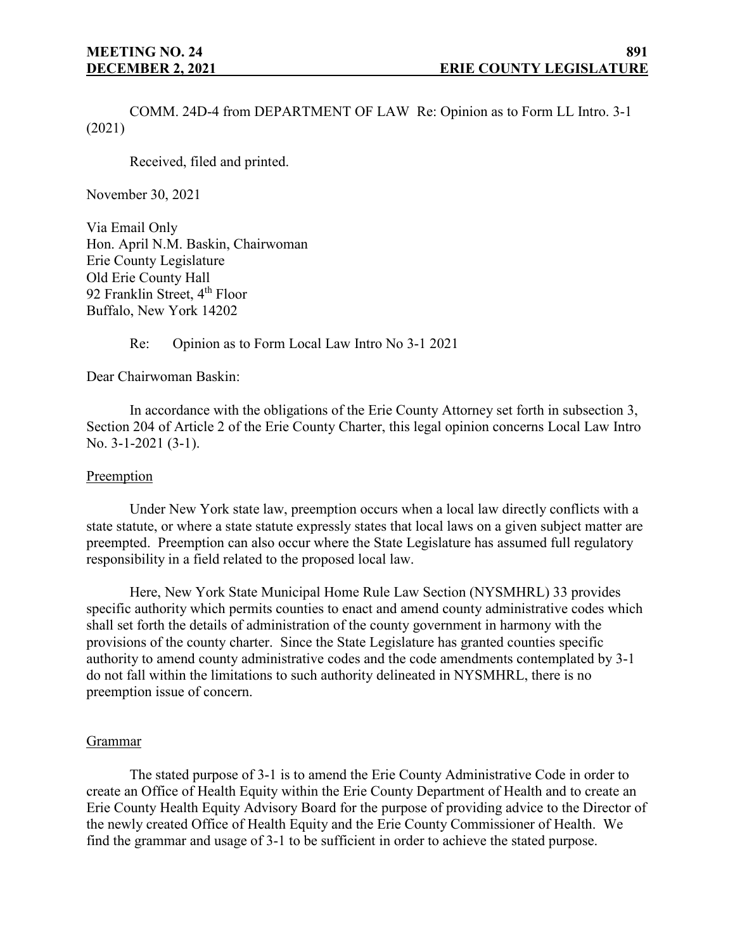COMM. 24D-4 from DEPARTMENT OF LAW Re: Opinion as to Form LL Intro. 3-1 (2021)

Received, filed and printed.

November 30, 2021

Via Email Only Hon. April N.M. Baskin, Chairwoman Erie County Legislature Old Erie County Hall 92 Franklin Street, 4<sup>th</sup> Floor Buffalo, New York 14202

## Re: Opinion as to Form Local Law Intro No 3-1 2021

Dear Chairwoman Baskin:

In accordance with the obligations of the Erie County Attorney set forth in subsection 3, Section 204 of Article 2 of the Erie County Charter, this legal opinion concerns Local Law Intro No. 3-1-2021 (3-1).

#### **Preemption**

Under New York state law, preemption occurs when a local law directly conflicts with a state statute, or where a state statute expressly states that local laws on a given subject matter are preempted. Preemption can also occur where the State Legislature has assumed full regulatory responsibility in a field related to the proposed local law.

Here, New York State Municipal Home Rule Law Section (NYSMHRL) 33 provides specific authority which permits counties to enact and amend county administrative codes which shall set forth the details of administration of the county government in harmony with the provisions of the county charter. Since the State Legislature has granted counties specific authority to amend county administrative codes and the code amendments contemplated by 3-1 do not fall within the limitations to such authority delineated in NYSMHRL, there is no preemption issue of concern.

#### Grammar

The stated purpose of 3-1 is to amend the Erie County Administrative Code in order to create an Office of Health Equity within the Erie County Department of Health and to create an Erie County Health Equity Advisory Board for the purpose of providing advice to the Director of the newly created Office of Health Equity and the Erie County Commissioner of Health. We find the grammar and usage of 3-1 to be sufficient in order to achieve the stated purpose.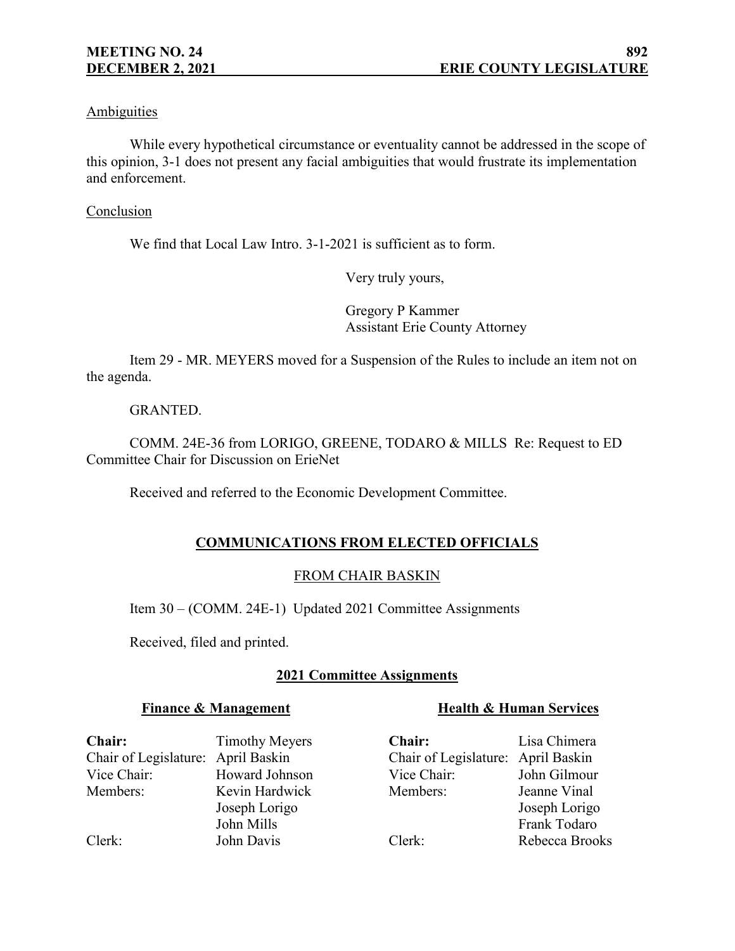## Ambiguities

While every hypothetical circumstance or eventuality cannot be addressed in the scope of this opinion, 3-1 does not present any facial ambiguities that would frustrate its implementation and enforcement.

#### Conclusion

We find that Local Law Intro. 3-1-2021 is sufficient as to form.

Very truly yours,

Gregory P Kammer Assistant Erie County Attorney

Item 29 - MR. MEYERS moved for a Suspension of the Rules to include an item not on the agenda.

## GRANTED.

COMM. 24E-36 from LORIGO, GREENE, TODARO & MILLS Re: Request to ED Committee Chair for Discussion on ErieNet

Received and referred to the Economic Development Committee.

## **COMMUNICATIONS FROM ELECTED OFFICIALS**

## FROM CHAIR BASKIN

Item 30 – (COMM. 24E-1) Updated 2021 Committee Assignments

Received, filed and printed.

## **2021 Committee Assignments**

## **Finance & Management**

## **Health & Human Services**

**Chair:** Timothy Meyers Chair of Legislature: April Baskin Vice Chair: Howard Johnson Members: Kevin Hardwick

Joseph Lorigo John Mills Clerk: John Davis

**Chair:** Lisa Chimera Chair of Legislature: April Baskin Vice Chair: John Gilmour Members: Jeanne Vinal Joseph Lorigo Frank Todaro Clerk: Rebecca Brooks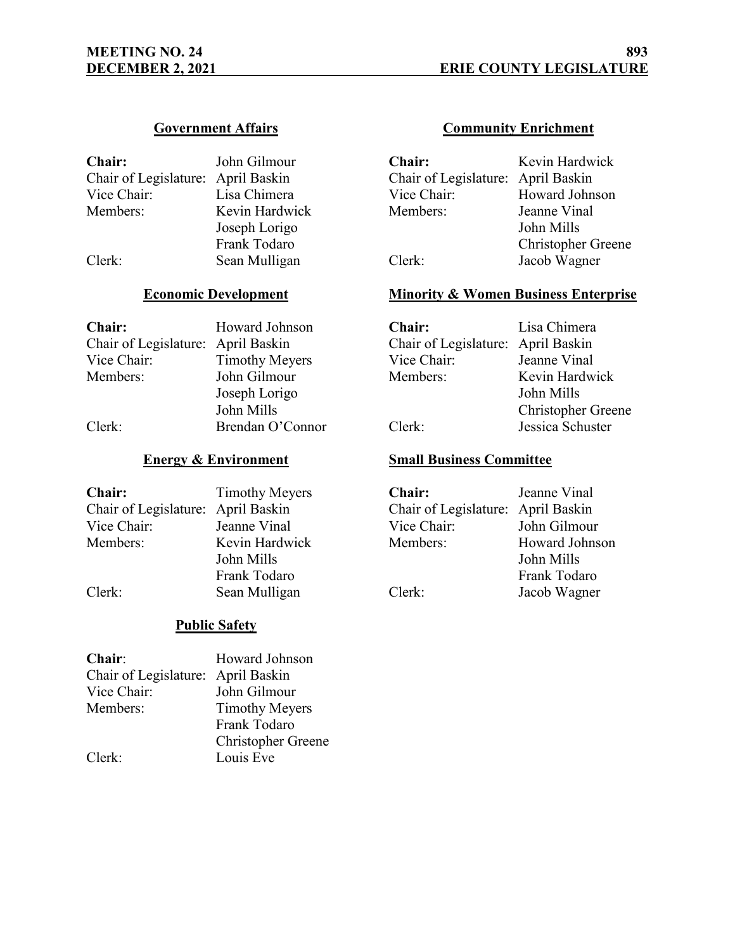## **Government Affairs**

| Chair:                             | John Gilmour   |
|------------------------------------|----------------|
| Chair of Legislature: April Baskin |                |
| Vice Chair:                        | Lisa Chimera   |
| Members:                           | Kevin Hardwick |
|                                    | Joseph Lorigo  |
|                                    | Frank Todaro   |

Clerk: Sean Mulligan

## **Economic Development**

| <b>Chair:</b>                      | Howard Johnson        | <b>Chair:</b>               | Lisa ( |
|------------------------------------|-----------------------|-----------------------------|--------|
| Chair of Legislature: April Baskin |                       | Chair of Legislature: April |        |
| Vice Chair:                        | <b>Timothy Meyers</b> | Vice Chair:                 | Jeann  |
| Members:                           | John Gilmour          | Members:                    | Kevin  |
|                                    | Joseph Lorigo         |                             | John   |
|                                    | John Mills            |                             | Chris  |
| Clerk:                             | Brendan O'Connor      | Clerk:                      | Jessic |
|                                    |                       |                             |        |

## **Energy & Environment**

| <b>Chair:</b>                      | <b>Timothy Meyers</b> | <b>Chair:</b>                      | Jeanne Vinal   |
|------------------------------------|-----------------------|------------------------------------|----------------|
| Chair of Legislature: April Baskin |                       | Chair of Legislature: April Baskin |                |
| Vice Chair:                        | Jeanne Vinal          | Vice Chair:                        | John Gilmour   |
| Members:                           | Kevin Hardwick        | Members:                           | Howard Johnson |
|                                    | John Mills            |                                    | John Mills     |
|                                    | Frank Todaro          |                                    | Frank Todaro   |
| Clerk:                             | Sean Mulligan         | Clerk:                             | Jacob Wagner   |

## **Public Safety**

| Howard Johnson                     |
|------------------------------------|
| Chair of Legislature: April Baskin |
| John Gilmour                       |
| <b>Timothy Meyers</b>              |
| Frank Todaro                       |
| <b>Christopher Greene</b>          |
| Louis Eve                          |
|                                    |

## **Community Enrichment**

| <b>Chair:</b>                      | Kevin Hardwick            |
|------------------------------------|---------------------------|
| Chair of Legislature: April Baskin |                           |
| Vice Chair:                        | Howard Johnson            |
| Members:                           | Jeanne Vinal              |
|                                    | John Mills                |
|                                    | <b>Christopher Greene</b> |
| Clerk:                             | Jacob Wagner              |

## **Minority & Women Business Enterprise**

| Chair:                             | Lisa Chimera              |
|------------------------------------|---------------------------|
| Chair of Legislature: April Baskin |                           |
| Vice Chair:                        | Jeanne Vinal              |
| Members:                           | Kevin Hardwick            |
|                                    | John Mills                |
|                                    | <b>Christopher Greene</b> |
| Clerk:                             | Jessica Schuster          |

## **Small Business Committee**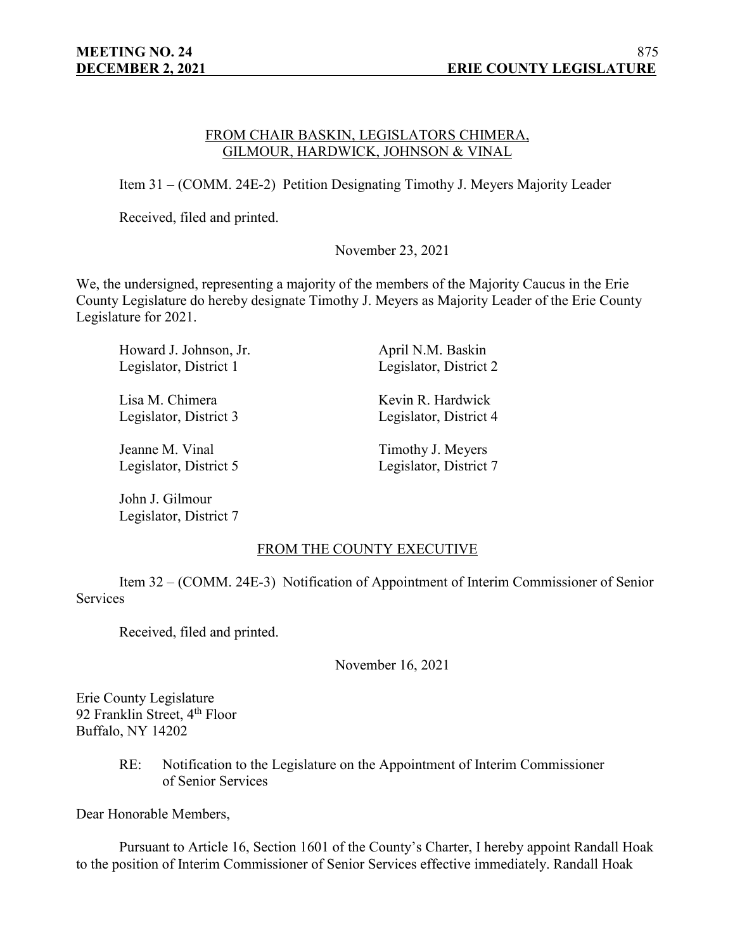#### FROM CHAIR BASKIN, LEGISLATORS CHIMERA, GILMOUR, HARDWICK, JOHNSON & VINAL

Item 31 – (COMM. 24E-2) Petition Designating Timothy J. Meyers Majority Leader

Received, filed and printed.

November 23, 2021

We, the undersigned, representing a majority of the members of the Majority Caucus in the Erie County Legislature do hereby designate Timothy J. Meyers as Majority Leader of the Erie County Legislature for 2021.

Howard J. Johnson, Jr. April N.M. Baskin Legislator, District 1 Legislator, District 2

Lisa M. Chimera Kevin R. Hardwick

Jeanne M. Vinal Timothy J. Meyers

John J. Gilmour Legislator, District 7

Legislator, District 3 Legislator, District 4

Legislator, District 5 Legislator, District 7

FROM THE COUNTY EXECUTIVE

Item 32 – (COMM. 24E-3) Notification of Appointment of Interim Commissioner of Senior **Services** 

Received, filed and printed.

November 16, 2021

Erie County Legislature 92 Franklin Street, 4<sup>th</sup> Floor Buffalo, NY 14202

> RE: Notification to the Legislature on the Appointment of Interim Commissioner of Senior Services

Dear Honorable Members,

Pursuant to Article 16, Section 1601 of the County's Charter, I hereby appoint Randall Hoak to the position of Interim Commissioner of Senior Services effective immediately. Randall Hoak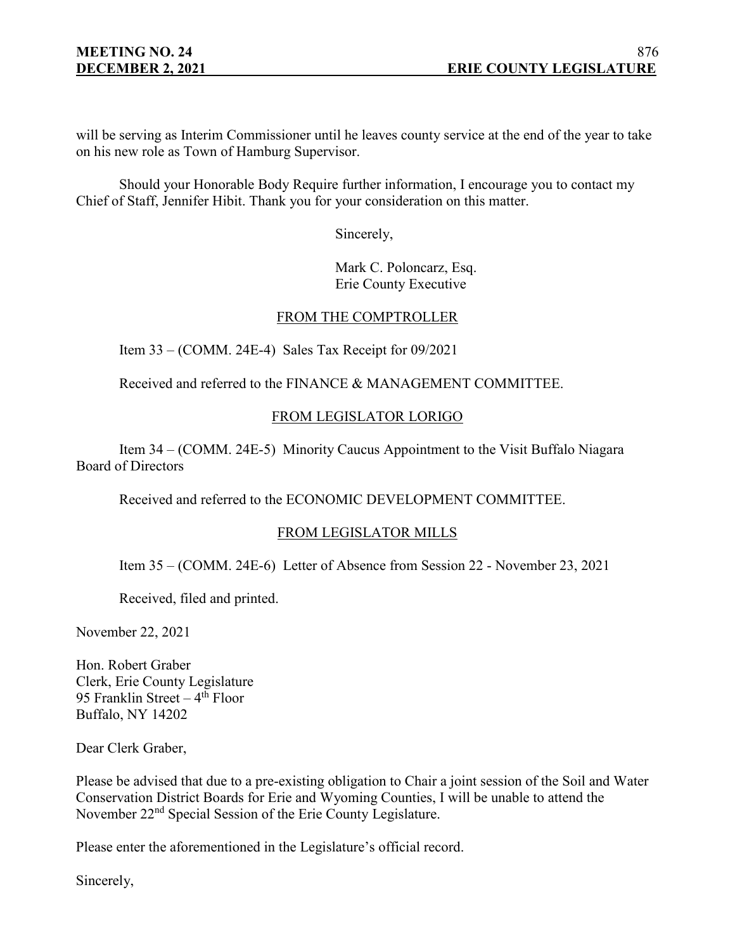will be serving as Interim Commissioner until he leaves county service at the end of the year to take on his new role as Town of Hamburg Supervisor.

Should your Honorable Body Require further information, I encourage you to contact my Chief of Staff, Jennifer Hibit. Thank you for your consideration on this matter.

Sincerely,

Mark C. Poloncarz, Esq. Erie County Executive

## FROM THE COMPTROLLER

Item 33 – (COMM. 24E-4) Sales Tax Receipt for 09/2021

Received and referred to the FINANCE & MANAGEMENT COMMITTEE.

## FROM LEGISLATOR LORIGO

Item 34 – (COMM. 24E-5) Minority Caucus Appointment to the Visit Buffalo Niagara Board of Directors

Received and referred to the ECONOMIC DEVELOPMENT COMMITTEE.

## FROM LEGISLATOR MILLS

Item 35 – (COMM. 24E-6) Letter of Absence from Session 22 - November 23, 2021

Received, filed and printed.

November 22, 2021

Hon. Robert Graber Clerk, Erie County Legislature 95 Franklin Street  $-4$ <sup>th</sup> Floor Buffalo, NY 14202

Dear Clerk Graber,

Please be advised that due to a pre-existing obligation to Chair a joint session of the Soil and Water Conservation District Boards for Erie and Wyoming Counties, I will be unable to attend the November 22<sup>nd</sup> Special Session of the Erie County Legislature.

Please enter the aforementioned in the Legislature's official record.

Sincerely,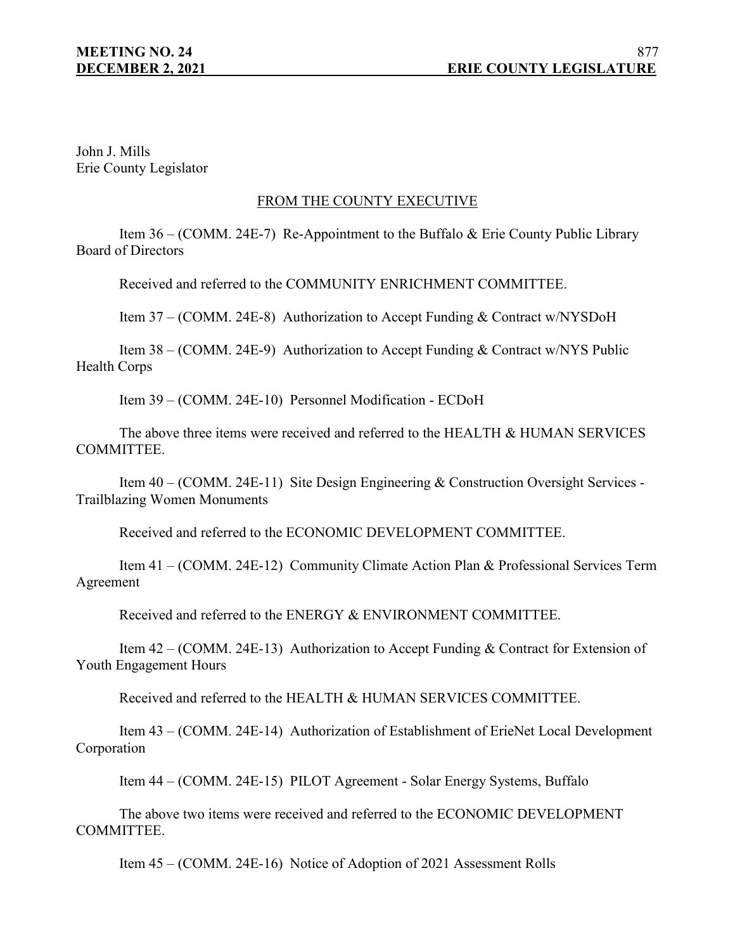John J. Mills Erie County Legislator

## FROM THE COUNTY EXECUTIVE

Item 36 – (COMM. 24E-7) Re-Appointment to the Buffalo & Erie County Public Library Board of Directors

Received and referred to the COMMUNITY ENRICHMENT COMMITTEE.

Item 37 – (COMM. 24E-8) Authorization to Accept Funding & Contract w/NYSDoH

Item 38 – (COMM. 24E-9) Authorization to Accept Funding & Contract w/NYS Public Health Corps

Item 39 – (COMM. 24E-10) Personnel Modification - ECDoH

The above three items were received and referred to the HEALTH & HUMAN SERVICES COMMITTEE.

Item 40 – (COMM. 24E-11) Site Design Engineering & Construction Oversight Services - Trailblazing Women Monuments

Received and referred to the ECONOMIC DEVELOPMENT COMMITTEE.

Item 41 – (COMM. 24E-12) Community Climate Action Plan & Professional Services Term Agreement

Received and referred to the ENERGY & ENVIRONMENT COMMITTEE.

Item 42 – (COMM. 24E-13) Authorization to Accept Funding & Contract for Extension of Youth Engagement Hours

Received and referred to the HEALTH & HUMAN SERVICES COMMITTEE.

Item 43 – (COMM. 24E-14) Authorization of Establishment of ErieNet Local Development Corporation

Item 44 – (COMM. 24E-15) PILOT Agreement - Solar Energy Systems, Buffalo

The above two items were received and referred to the ECONOMIC DEVELOPMENT COMMITTEE.

Item 45 – (COMM. 24E-16) Notice of Adoption of 2021 Assessment Rolls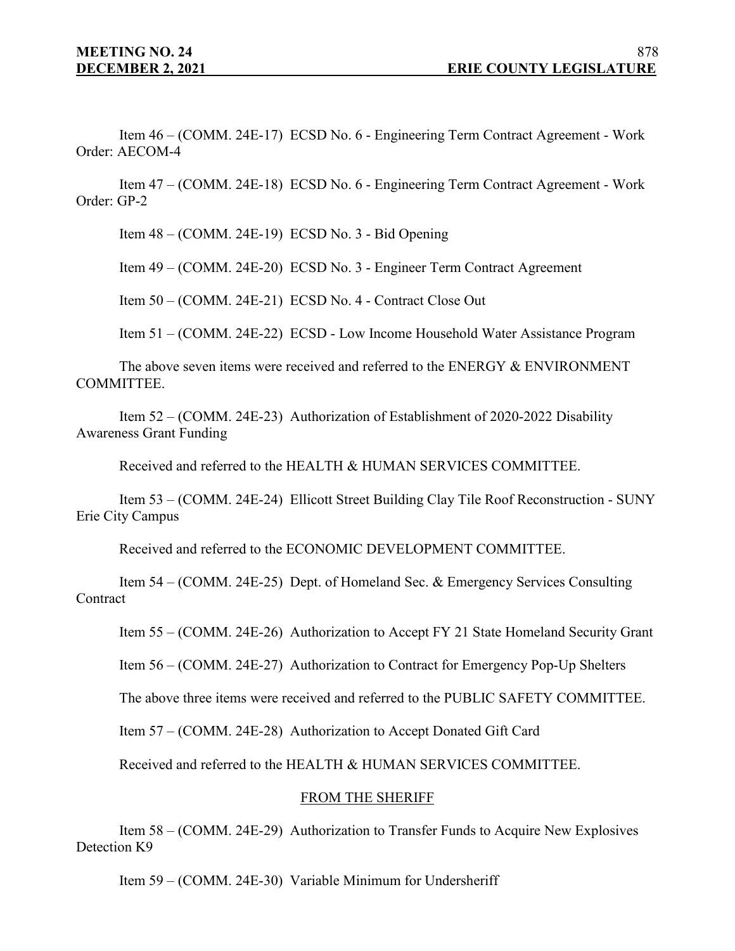Item 46 – (COMM. 24E-17) ECSD No. 6 - Engineering Term Contract Agreement - Work Order: AECOM-4

Item 47 – (COMM. 24E-18) ECSD No. 6 - Engineering Term Contract Agreement - Work Order: GP-2

Item 48 – (COMM. 24E-19) ECSD No. 3 - Bid Opening

Item 49 – (COMM. 24E-20) ECSD No. 3 - Engineer Term Contract Agreement

Item 50 – (COMM. 24E-21) ECSD No. 4 - Contract Close Out

Item 51 – (COMM. 24E-22) ECSD - Low Income Household Water Assistance Program

The above seven items were received and referred to the ENERGY & ENVIRONMENT COMMITTEE.

Item 52 – (COMM. 24E-23) Authorization of Establishment of 2020-2022 Disability Awareness Grant Funding

Received and referred to the HEALTH & HUMAN SERVICES COMMITTEE.

Item 53 – (COMM. 24E-24) Ellicott Street Building Clay Tile Roof Reconstruction - SUNY Erie City Campus

Received and referred to the ECONOMIC DEVELOPMENT COMMITTEE.

Item 54 – (COMM. 24E-25) Dept. of Homeland Sec. & Emergency Services Consulting **Contract** 

Item 55 – (COMM. 24E-26) Authorization to Accept FY 21 State Homeland Security Grant

Item 56 – (COMM. 24E-27) Authorization to Contract for Emergency Pop-Up Shelters

The above three items were received and referred to the PUBLIC SAFETY COMMITTEE.

Item 57 – (COMM. 24E-28) Authorization to Accept Donated Gift Card

Received and referred to the HEALTH & HUMAN SERVICES COMMITTEE.

#### FROM THE SHERIFF

Item 58 – (COMM. 24E-29) Authorization to Transfer Funds to Acquire New Explosives Detection K9

Item 59 – (COMM. 24E-30) Variable Minimum for Undersheriff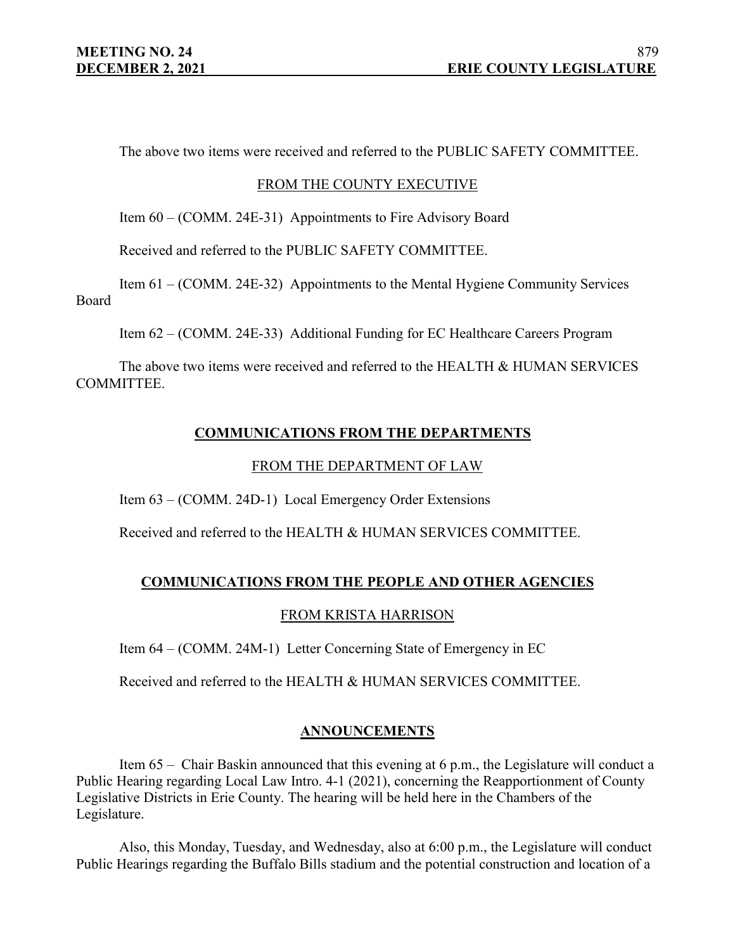The above two items were received and referred to the PUBLIC SAFETY COMMITTEE.

#### FROM THE COUNTY EXECUTIVE

Item 60 – (COMM. 24E-31) Appointments to Fire Advisory Board

Received and referred to the PUBLIC SAFETY COMMITTEE.

Item 61 – (COMM. 24E-32) Appointments to the Mental Hygiene Community Services Board

Item 62 – (COMM. 24E-33) Additional Funding for EC Healthcare Careers Program

The above two items were received and referred to the HEALTH & HUMAN SERVICES COMMITTEE.

## **COMMUNICATIONS FROM THE DEPARTMENTS**

#### FROM THE DEPARTMENT OF LAW

Item 63 – (COMM. 24D-1) Local Emergency Order Extensions

Received and referred to the HEALTH & HUMAN SERVICES COMMITTEE.

## **COMMUNICATIONS FROM THE PEOPLE AND OTHER AGENCIES**

#### FROM KRISTA HARRISON

Item 64 – (COMM. 24M-1) Letter Concerning State of Emergency in EC

Received and referred to the HEALTH & HUMAN SERVICES COMMITTEE.

#### **ANNOUNCEMENTS**

Item 65 – Chair Baskin announced that this evening at 6 p.m., the Legislature will conduct a Public Hearing regarding Local Law Intro. 4-1 (2021), concerning the Reapportionment of County Legislative Districts in Erie County. The hearing will be held here in the Chambers of the Legislature.

Also, this Monday, Tuesday, and Wednesday, also at 6:00 p.m., the Legislature will conduct Public Hearings regarding the Buffalo Bills stadium and the potential construction and location of a